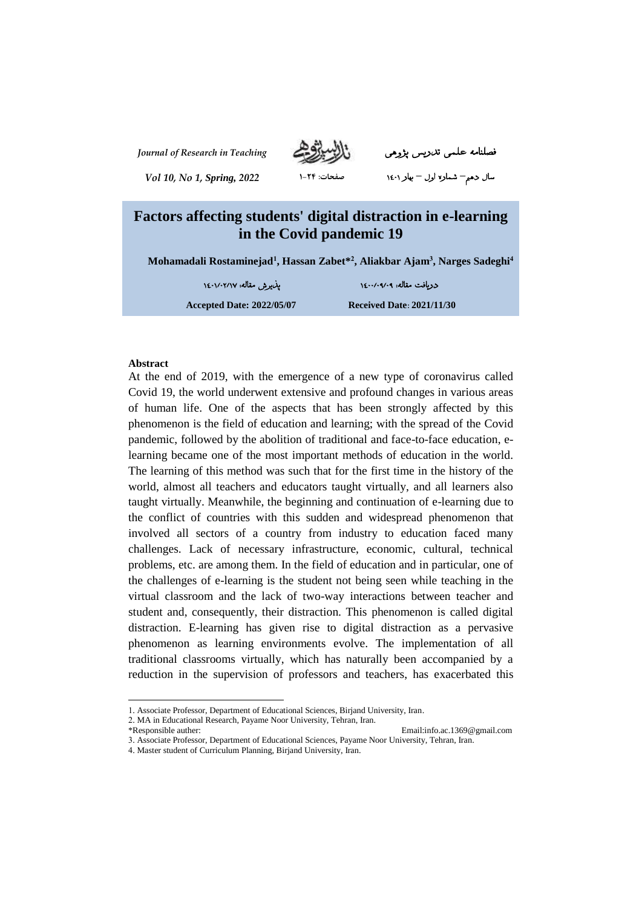

*Journal of Research in Teaching* پژوهی تدریس علمی فصلنامه

سال دهم**–** شماره اول **–** بهار ۱۴۰۱ **صفحات: ۱-۲۴** *<sup>2022</sup> ,Spring 1, No 10, Vol*

# **Factors affecting students' digital distraction in e-learning in the Covid pandemic 19**

**Mohamadali Rostaminejad<sup>1</sup> , Hassan Zabet\* 2 , Aliakbar Ajam<sup>3</sup> , Narges Sadeghi<sup>4</sup>**

دریافت مقاله: ۱۴۰۰/۰9/۰9 پذیرش مقاله: ۱۴۰۱/۰۲/۱۷

**Accepted Date: 2022/05/07 Received Date: 2021/11/30**

#### **Abstract**

At the end of 2019, with the emergence of a new type of coronavirus called Covid 19, the world underwent extensive and profound changes in various areas of human life. One of the aspects that has been strongly affected by this phenomenon is the field of education and learning; with the spread of the Covid pandemic, followed by the abolition of traditional and face-to-face education, elearning became one of the most important methods of education in the world. The learning of this method was such that for the first time in the history of the world, almost all teachers and educators taught virtually, and all learners also taught virtually. Meanwhile, the beginning and continuation of e-learning due to the conflict of countries with this sudden and widespread phenomenon that involved all sectors of a country from industry to education faced many challenges. Lack of necessary infrastructure, economic, cultural, technical problems, etc. are among them. In the field of education and in particular, one of the challenges of e-learning is the student not being seen while teaching in the virtual classroom and the lack of two-way interactions between teacher and student and, consequently, their distraction. This phenomenon is called digital distraction. E-learning has given rise to digital distraction as a pervasive phenomenon as learning environments evolve. The implementation of all traditional classrooms virtually, which has naturally been accompanied by a reduction in the supervision of professors and teachers, has exacerbated this

2. MA in Educational Research, Payame Noor University, Tehran, Iran.

\*Responsible auther: Email:info.ac.1369@gmail.com

 $\overline{a}$ 

<sup>1.</sup> Associate Professor, Department of Educational Sciences, Birjand University, Iran.

<sup>3.</sup> Associate Professor, Department of Educational Sciences, Payame Noor University, Tehran, Iran.

<sup>4.</sup> Master student of Curriculum Planning, Birjand University, Iran.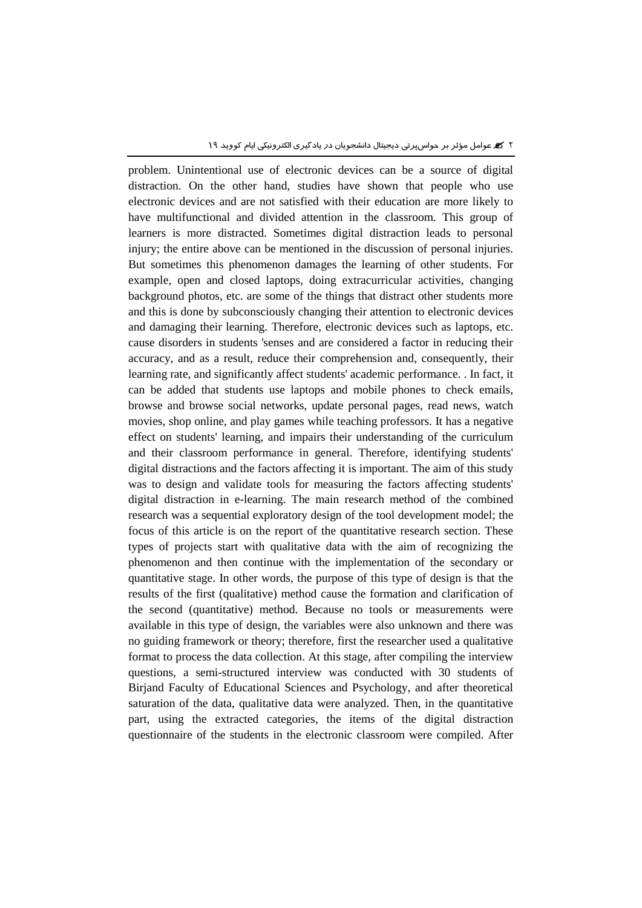problem. Unintentional use of electronic devices can be a source of digital distraction. On the other hand, studies have shown that people who use electronic devices and are not satisfied with their education are more likely to have multifunctional and divided attention in the classroom. This group of learners is more distracted. Sometimes digital distraction leads to personal injury; the entire above can be mentioned in the discussion of personal injuries. But sometimes this phenomenon damages the learning of other students. For example, open and closed laptops, doing extracurricular activities, changing background photos, etc. are some of the things that distract other students more and this is done by subconsciously changing their attention to electronic devices and damaging their learning. Therefore, electronic devices such as laptops, etc. cause disorders in students 'senses and are considered a factor in reducing their accuracy, and as a result, reduce their comprehension and, consequently, their learning rate, and significantly affect students' academic performance. . In fact, it can be added that students use laptops and mobile phones to check emails, browse and browse social networks, update personal pages, read news, watch movies, shop online, and play games while teaching professors. It has a negative effect on students' learning, and impairs their understanding of the curriculum and their classroom performance in general. Therefore, identifying students' digital distractions and the factors affecting it is important. The aim of this study was to design and validate tools for measuring the factors affecting students' digital distraction in e-learning. The main research method of the combined research was a sequential exploratory design of the tool development model; the focus of this article is on the report of the quantitative research section. These types of projects start with qualitative data with the aim of recognizing the phenomenon and then continue with the implementation of the secondary or quantitative stage. In other words, the purpose of this type of design is that the results of the first (qualitative) method cause the formation and clarification of the second (quantitative) method. Because no tools or measurements were available in this type of design, the variables were also unknown and there was no guiding framework or theory; therefore, first the researcher used a qualitative format to process the data collection. At this stage, after compiling the interview questions, a semi-structured interview was conducted with 30 students of Birjand Faculty of Educational Sciences and Psychology, and after theoretical saturation of the data, qualitative data were analyzed. Then, in the quantitative part, using the extracted categories, the items of the digital distraction questionnaire of the students in the electronic classroom were compiled. After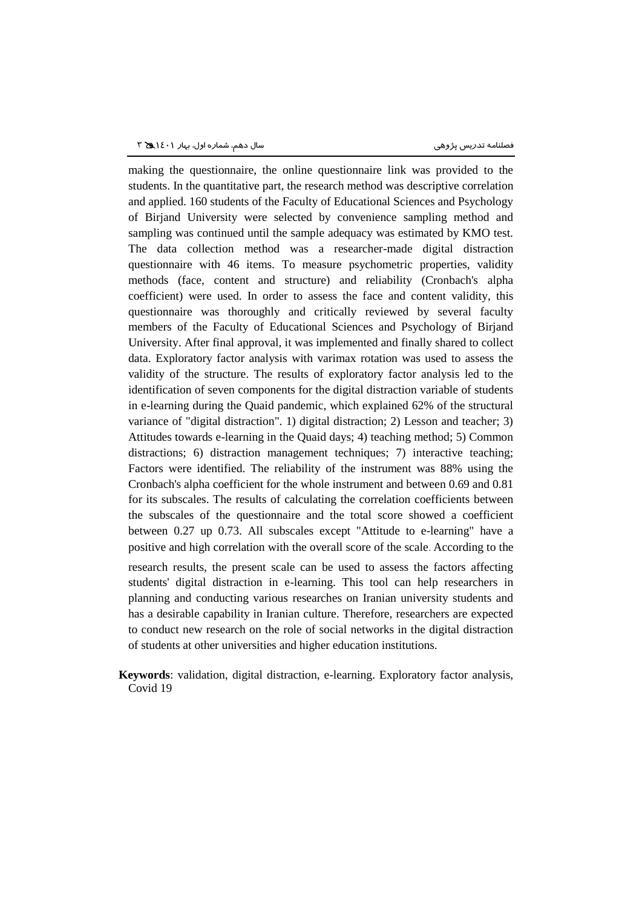making the questionnaire, the online questionnaire link was provided to the students. In the quantitative part, the research method was descriptive correlation and applied. 160 students of the Faculty of Educational Sciences and Psychology of Birjand University were selected by convenience sampling method and sampling was continued until the sample adequacy was estimated by KMO test. The data collection method was a researcher-made digital distraction questionnaire with 46 items. To measure psychometric properties, validity methods (face, content and structure) and reliability (Cronbach's alpha coefficient) were used. In order to assess the face and content validity, this questionnaire was thoroughly and critically reviewed by several faculty members of the Faculty of Educational Sciences and Psychology of Birjand University. After final approval, it was implemented and finally shared to collect data. Exploratory factor analysis with varimax rotation was used to assess the validity of the structure. The results of exploratory factor analysis led to the identification of seven components for the digital distraction variable of students in e-learning during the Quaid pandemic, which explained 62% of the structural variance of "digital distraction". 1) digital distraction; 2) Lesson and teacher; 3) Attitudes towards e-learning in the Quaid days; 4) teaching method; 5) Common distractions; 6) distraction management techniques; 7) interactive teaching; Factors were identified. The reliability of the instrument was 88% using the Cronbach's alpha coefficient for the whole instrument and between 0.69 and 0.81 for its subscales. The results of calculating the correlation coefficients between the subscales of the questionnaire and the total score showed a coefficient between 0.27 up 0.73. All subscales except "Attitude to e-learning" have a positive and high correlation with the overall score of the scale. According to the research results, the present scale can be used to assess the factors affecting students' digital distraction in e-learning. This tool can help researchers in planning and conducting various researches on Iranian university students and has a desirable capability in Iranian culture. Therefore, researchers are expected to conduct new research on the role of social networks in the digital distraction

**Keywords**: validation, digital distraction, e-learning. Exploratory factor analysis, Covid 19

of students at other universities and higher education institutions.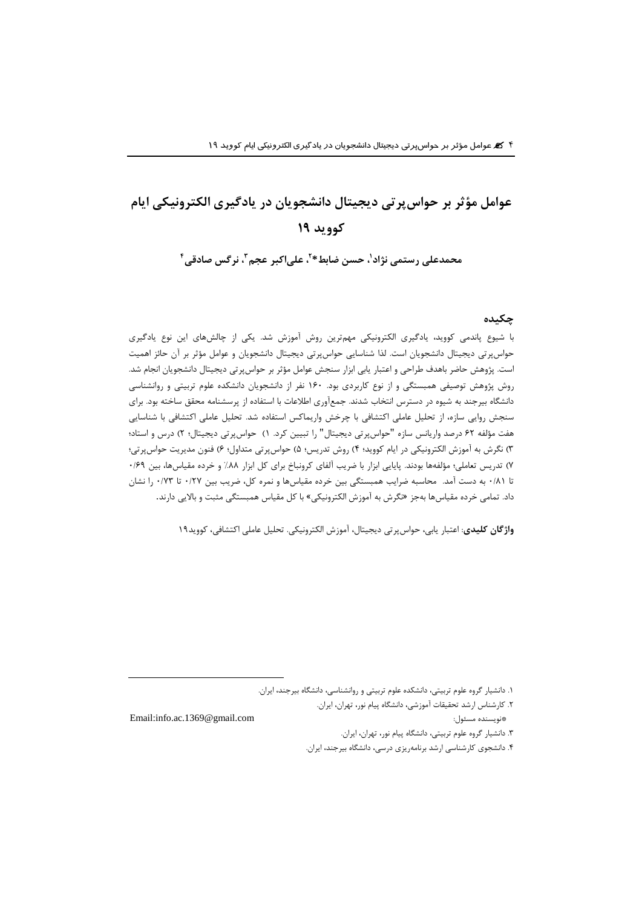# **عوامل مؤثر بر حواسپرتی دیجیتال دانشجویان در یادگیری الکترونیکی ایام کووید ۱9**

**۱ محمدعلی رستمی نژاد ، علیاکبر عجم <sup>۲</sup> ، حسن ضابط\* ۴ ، نرگس صادقی <sup>3</sup>**

#### **چکیده**

با شیوع پاندمی کووید، یادگیری الکترونیکی مهمترین روش آموزش شد. یکی از چالشهای این نوع یادگیری حواسپرتی دیجیتال دانشجویان است. لذا شناسایی حواسپرتی دیجیتال دانشجویان و عوامل مؤثر بر آن حائز اهمیت است. پژوهش حاضر باهدف طراحی و اعتبار یابی ابزار سنجش عوامل مؤثر بر حواسپرتی دیجیتال دانشجویان انجام شد. روش پژوهش توصیفی همبستگی و از نوع کاربردی بود. 160 نفر از دانشجویان دانشکده علوم تربیتی و روانشناسی دانشگاه بیرجند به شیوه در دسترس انتخاب شدند. جمعآوری اطالعات با استفاده از پرسشنامه محقق ساخته بود. برای سنجش روایی سازه، از تحلیل عاملی اکتشافی با چرخش واریماکس استفاده شد. تحلیل عاملی اکتشافی با شناسایی هفت مؤلفه 62 درصد واریانس سازه "حواسپرتی دیجیتال" را تبیین کرد. 1( حواسپرتی دیجیتال؛ 2( درس و استاد؛ 3( نگرش به آموزش الکترونیکی در ایام کووید؛ 4( روش تدریس؛ 5( حواسپرتی متداول؛ 6( فنون مدیریت حواسپرتی؛ 7( تدریس تعاملی؛ مؤلفهها بودند. پایایی ابزار با ضریب آلفای کرونباخ برای کل ابزار %88 و خرده مقیاسها، بین 0/69 تا 0/81 به دست آمد. محاسبه ضرایب همبستگی بین خرده مقیاسها و نمره کل، ضریب بین 0/27 تا 0/73 را نشان داد. تمامی خرده مقیاسها بهجز »نگرش به آموزش الکترونیکی« با کل مقیاس همبستگی مثبت و باالیی دارند.

 $\overline{a}$ 

**واژگان کلیدی**: اعتبار یابی، حواسپرتی دیجیتال، آموزش الکترونیکی. تحلیل عاملی اکتشافی، کووید19

.2 کارشناس ارشد تحقیقات آموزشی، دانشگاه پیام نور، تهران، ایران. Email:info.ac.1369@gmail.com :مسئول نویسنده \*

- .3 دانشیار گروه علوم تربیتی، دانشگاه پیام نور، تهران، ایران.
- .4 دانشجوی کارشناسی ارشد برنامهریزی درسی، دانشگاه بیرجند، ایران.

<sup>.1</sup> دانشیار گروه علوم تربیتی، دانشکده علوم تربیتی و روانشناسی، دانشگاه بیرجند، ایران.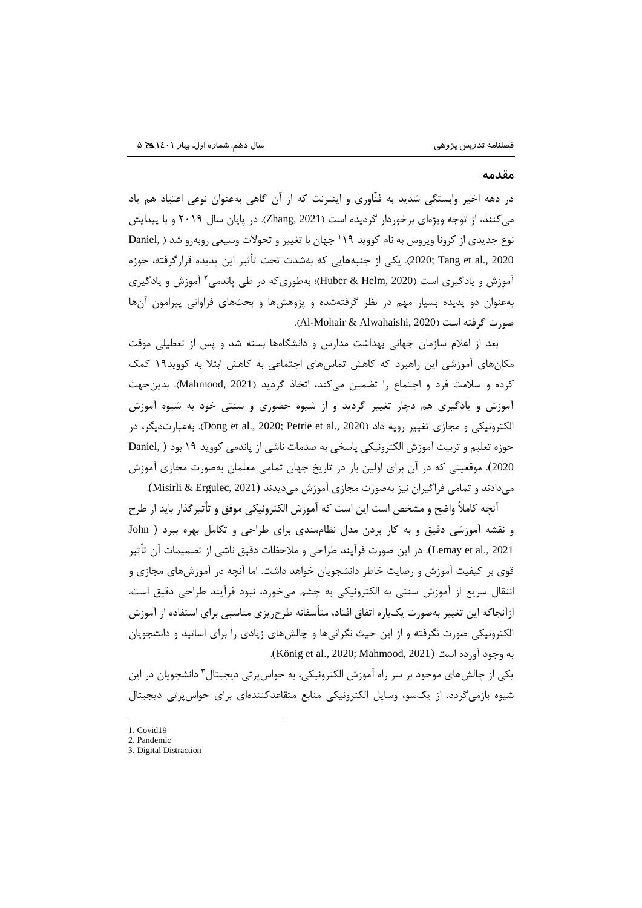#### **مقدمه**

در دهه اخیر وابستگی شدید به فنّاوری و اینترنت که از آن گاهی بهعنوان نوعی اعتیاد هم یاد میکنند، از توجه ویژهای برخوردار گردیده است )2021 ,Zhang). در پایان سال 2019 و با پیدایش جهان با تغییر و تحوالت وسیعی روبهرو شد ) ,Daniel <sup>1</sup> نوع جدیدی از کرونا ویروس به نام کووید 19 2020 .,al et Tang; 2020). یکی از جنبههایی که بهشدت تحت تأثیر این پدیده قرارگرفته، حوزه <sup>2</sup> آموزش و یادگیری است )2020 ,Helm & Huber)؛ بهطوریکه در طی پاندمی آموزش و یادگیری بهعنوان دو پدیده بسیار مهم در نظر گرفتهشده و پژوهشها و بحثهای فراوانی پیرامون آنها صورت گرفته است )2020 ,Alwahaishi & Mohair-Al).

بعد از اعالم سازمان جهانی بهداشت مدارس و دانشگاهها بسته شد و پس از تعطیلی موقت مکانهای آموزشی این راهبرد که کاهش تماسهای اجتماعی به کاهش ابتال به کووید19 کمک کرده و سالمت فرد و اجتماع را تضمین میکند، اتخاذ گردید )2021 ,Mahmood). بدینجهت آموزش و یادگیری هم دچار تغییر گردید و از شیوه حضوری و سنتی خود به شیوه آموزش الکترونیکی و مجازی تغییر رویه داد (2020, Petrie et al., 2020). بهعبارتدیگر، در ) حوزه تعلیم و تربیت آموزش الکترونیکی پاسخی به صدمات ناشی از پاندمی کووید 19 بود ) ,Daniel 2020(. موقعیتی که در آن برای اولین بار در تاریخ جهان تمامی معلمان بهصورت مجازی آموزش میدادند و تمامی فراگیران نیز بهصورت مجازی آموزش میدیدند )2021 ,Ergulec & Misirli).

آنچه کامالً واضح و مشخص است این است که آموزش الکترونیکی موفق و تأثیرگذار باید از طرح و نقشه آموزشی دقیق و به کار بردن مدل نظاممندی برای طراحی و تکامل بهره ببرد ) John 2021 .,al et Lemay). در این صورت فرآیند طراحی و مالحظات دقیق ناشی از تصمیمات آن تأثیر قوی بر کیفیت آموزش و رضایت خاطر دانشجویان خواهد داشت. اما آنچه در آموزشهای مجازی و انتقال سریع از آموزش سنتی به الکترونیکی به چشم میخورد، نبود فرآیند طراحی دقیق است. ازآنجاکه این تغییر بهصورت یکباره اتفاق افتاد، متأسفانه طرحریزی مناسبی برای استفاده از آموزش الکترونیکی صورت نگرفته و از این حیث نگرانیها و چالشهای زیادی را برای اساتید و دانشجویان به وجود آورده است (2021, Mahmood, 2021).

یکی از چالشهای موجود بر سر راه آموزش الکترونیکی، به حواس پرتی دیجیتال<sup>۳</sup> دانشجویان در این شیوه بازمیگردد. از یکسو، وسایل الکترونیکی منابع متقاعدکنندهای برای حواسپرتی دیجیتال

1. Covid19

 $\overline{a}$ 

<sup>2.</sup> Pandemic

<sup>3.</sup> Digital Distraction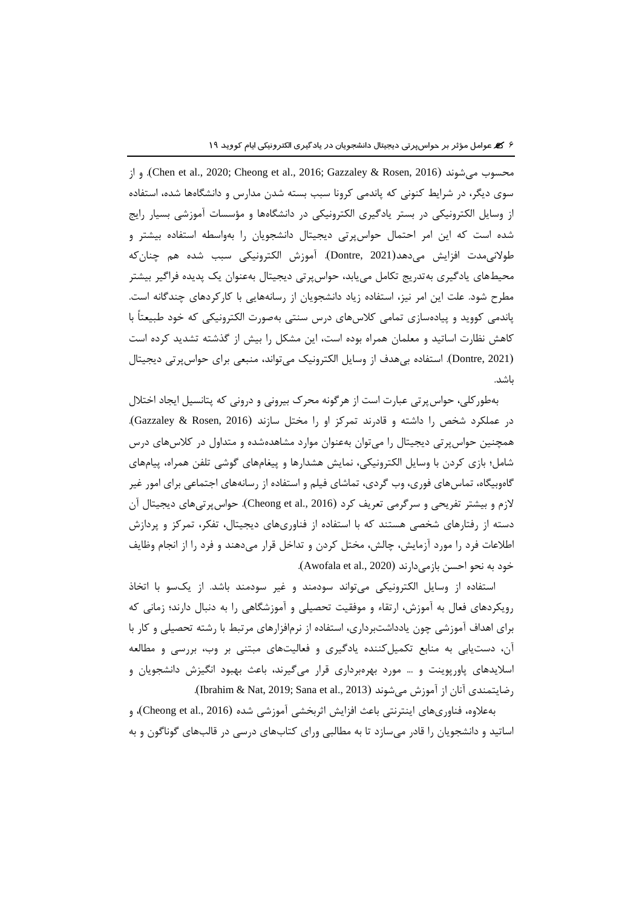از و .(Chen et al., 2020; Cheong et al., 2016; Gazzaley & Rosen, 2016( میشوند محسوب سوی دیگر، در شرایط کنونی که پاندمی کرونا سبب بسته شدن مدارس و دانشگاهها شده، استفاده از وسایل الکترونیکی در بستر یادگیری الکترونیکی در دانشگاهها و مؤسسات آموزشی بسیار رایج شده است که این امر احتمال حواسپرتی دیجیتال دانشجویان را بهواسطه استفاده بیشتر و طوالنیمدت افزایش میدهد)2021 ,Dontre). آموزش الکترونیکی سبب شده هم چنانکه محیطهای یادگیری بهتدریج تکامل مییابد، حواسپرتی دیجیتال بهعنوان یک پدیده فراگیر بیشتر مطرح شود. علت این امر نیز، استفاده زیاد دانشجویان از رسانههایی با کارکردهای چندگانه است. پاندمی کووید و پیادهسازی تمامی کالسهای درس سنتی بهصورت الکترونیکی که خود طبیعتاً با کاهش نظارت اساتید و معلمان همراه بوده است، این مشکل را بیش از گذشته تشدید کرده است )2021 ,Dontre). استفاده بیهدف از وسایل الکترونیک میتواند، منبعی برای حواسپرتی دیجیتال باشد.

بهطورکلی، حواسپرتی عبارت است از هرگونه محرک بیرونی و درونی که پتانسیل ایجاد اختالل در عملکرد شخص را داشته و قادرند تمرکز او را مختل سازند )2016 ,Rosen & Gazzaley). همچنین حواسپرتی دیجیتال را میتوان بهعنوان موارد مشاهدهشده و متداول در کالسهای درس شامل؛ بازی کردن با وسایل الکترونیکی، نمایش هشدارها و پیغامهای گوشی تلفن همراه، پیامهای گاهوبیگاه، تماسهای فوری، وب گردی، تماشای فیلم و استفاده از رسانههای اجتماعی برای امور غیر لازم و بیشتر تفریحی و سرگرمی تعریف کرد (Cheong et al., 2016). حواسپرتیهای دیجیتال آن دسته از رفتارهای شخصی هستند که با استفاده از فناوریهای دیجیتال، تفکر، تمرکز و پردازش اطالعات فرد را مورد آزمایش، چالش، مختل کردن و تداخل قرار میدهند و فرد را از انجام وظایف خود به نحو احسن بازمیدارند (Awofala et al., 2020).

استفاده از وسایل الکترونیکی میتواند سودمند و غیر سودمند باشد. از یکسو با اتخاذ رویکردهای فعال به آموزش، ارتقاء و موفقیت تحصیلی و آموزشگاهی را به دنبال دارند؛ زمانی که برای اهداف آموزشی چون یادداشتبرداری، استفاده از نرمافزارهای مرتبط با رشته تحصیلی و کار با آن، دستیابی به منابع تکمیلکننده یادگیری و فعالیتهای مبتنی بر وب، بررسی و مطالعه اسالیدهای پاورپوینت و ... مورد بهرهبرداری قرار میگیرند، باعث بهبود انگیزش دانشجویان و رضایتمندی آنان از آموزش می شوند (2013 .Jbrahim & Nat, 2019; Sana et al., 2013).

بهعلاوه، فناوریهای اینترنتی باعث افزایش اثربخشی آموزشی شده (Cheong et al., 2016)، و اساتید و دانشجویان را قادر میسازد تا به مطالبی ورای کتابهای درسی در قالبهای گوناگون و به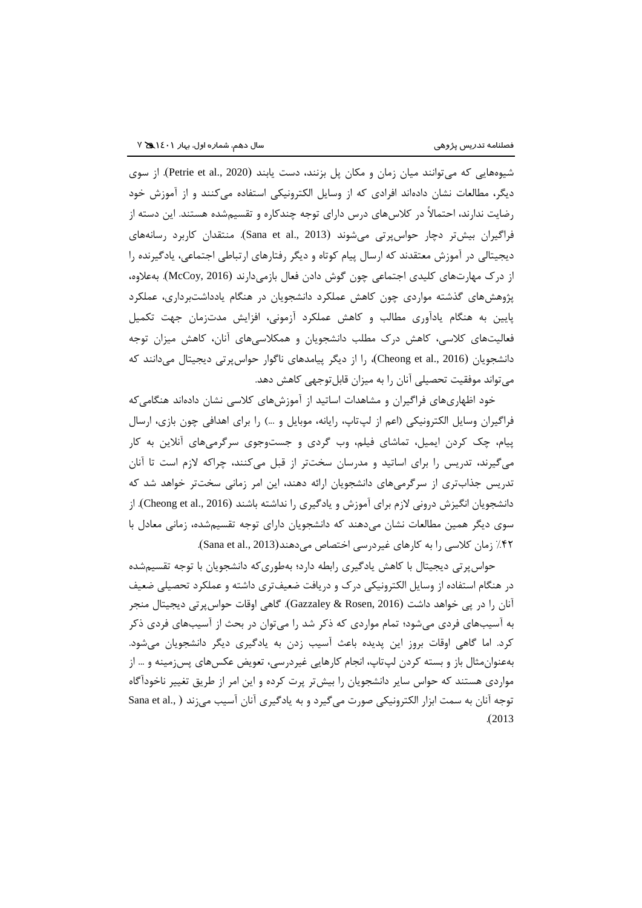شیوههایی که میتوانند میان زمان و مکان پل بزنند، دست یابند (Petrie et al., 2020). از سوی دیگر، مطالعات نشان دادهاند افرادی که از وسایل الکترونیکی استفاده میکنند و از آموزش خود رضایت ندارند، احتماالً در کالسهای درس دارای توجه چندکاره و تقسیمشده هستند. این دسته از فراگیران بیشتر دچار حواسپرتی میشوند )2013 .,al et Sana). منتقدان کاربرد رسانههای دیجیتالی در آموزش معتقدند که ارسال پیام کوتاه و دیگر رفتارهای ارتباطی اجتماعی، یادگیرنده را از درک مهارتهای کلیدی اجتماعی چون گوش دادن فعال بازمیدارند )2016 ,McCoy). بهعالوه، پژوهشهای گذشته مواردی چون کاهش عملکرد دانشجویان در هنگام یادداشتبرداری، عملکرد پایین به هنگام یادآوری مطالب و کاهش عملکرد آزمونی، افزایش مدتزمان جهت تکمیل فعالیتهای کالسی، کاهش درک مطلب دانشجویان و همکالسیهای آنان، کاهش میزان توجه دانشجویان )2016 .,al et Cheong)، را از دیگر پیامدهای ناگوار حواسپرتی دیجیتال میدانند که میتواند موفقیت تحصیلی آنان را به میزان قابلتوجهی کاهش دهد.

خود اظهاریهای فراگیران و مشاهدات اساتید از آموزشهای کالسی نشان دادهاند هنگامیکه فراگیران وسایل الکترونیکی (اعم از لپتاپ، رایانه، موبایل و …) را برای اهدافی چون بازی، ارسال پیام، چک کردن ایمیل، تماشای فیلم، وب گردی و جستوجوی سرگرمیهای آنالین به کار میگیرند، تدریس را برای اساتید و مدرسان سختتر از قبل میکنند، چراکه الزم است تا آنان تدریس جذابتری از سرگرمیهای دانشجویان ارائه دهند، این امر زمانی سختتر خواهد شد که دانشجویان انگیزش درونی لازم برای آموزش و یادگیری را نداشته باشند (Cheong et al., 2016). از سوی دیگر همین مطالعات نشان میدهند که دانشجویان دارای توجه تقسیمشده، زمانی معادل با %42 زمان کالسی را به کارهای غیردرسی اختصاص میدهند)2013 .,al et Sana).

حواسپرتی دیجیتال با کاهش یادگیری رابطه دارد؛ بهطوریکه دانشجویان با توجه تقسیمشده در هنگام استفاده از وسایل الکترونیکی درک و دریافت ضعیفتری داشته و عملکرد تحصیلی ضعیف آنان را در پی خواهد داشت )2016 ,Rosen & Gazzaley). گاهی اوقات حواسپرتی دیجیتال منجر به آسیبهای فردی میشود؛ تمام مواردی که ذکر شد را میتوان در بحث از آسیبهای فردی ذکر کرد. اما گاهی اوقات بروز این پدیده باعث آسیب زدن به یادگیری دیگر دانشجویان میشود. بهعنوانمثال باز و بسته کردن لپتاپ، انجام کارهایی غیردرسی، تعویض عکسهای پسزمینه و ... از مواردی هستند که حواس سایر دانشجویان را بیشتر پرت کرده و این امر از طریق تغییر ناخودآگاه توجه آنان به سمت ابزار الکترونیکی صورت میگیرد و به یادگیری آنان آسیب میزند ( .Sana et al .)2013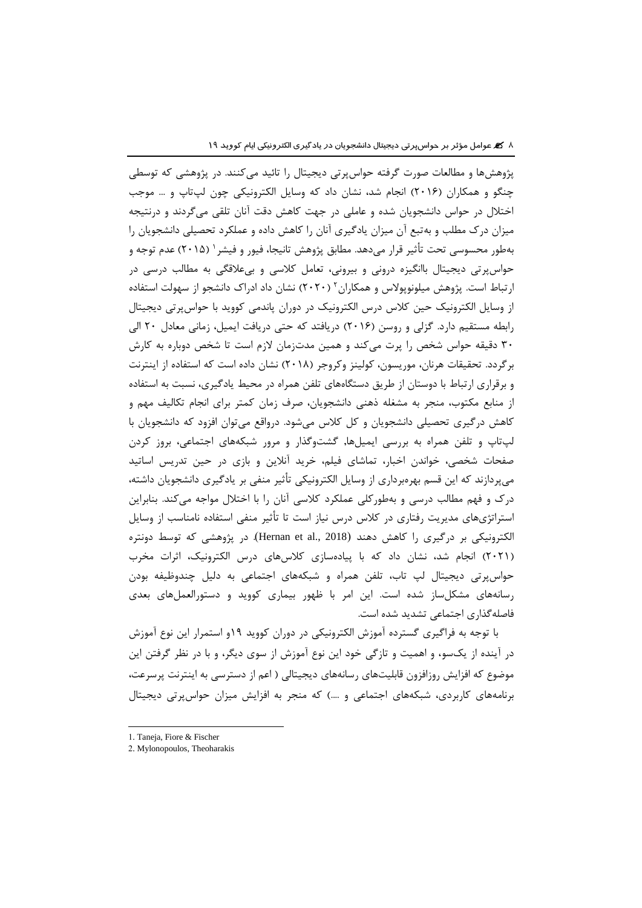پژوهشها و مطالعات صورت گرفته حواسپرتی دیجیتال را تائید میکنند. در پژوهشی که توسطی چنگو و همکاران )2016( انجام شد، نشان داد که وسایل الکترونیکی چون لپتاپ و ... موجب اختالل در حواس دانشجویان شده و عاملی در جهت کاهش دقت آنان تلقی میگردند و درنتیجه میزان درک مطلب و بهتبع آن میزان یادگیری آنان را کاهش داده و عملکرد تحصیلی دانشجویان را <sup>1</sup> بهطور محسوسی تحت تأثیر قرار میدهد. مطابق پژوهش تانیجا، فیور و فیشر )2015( عدم توجه و حواسپرتی دیجیتال باانگیزه درونی و بیرونی، تعامل کالسی و بیعالقگی به مطالب درسی در <sup>2</sup> ارتباط است. پژوهش میلونوپوالس و همکاران )2020( نشان داد ادراک دانشجو از سهولت استفاده از وسایل الکترونیک حین کالس درس الکترونیک در دوران پاندمی کووید با حواسپرتی دیجیتال رابطه مستقیم دارد. گزلی و روسن )2016( دریافتد که حتی دریافت ایمیل، زمانی معادل 20 الی 30 دقیقه حواس شخص را پرت میکند و همین مدتزمان الزم است تا شخص دوباره به کارش برگردد. تحقیقات هرنان، موریسون، کولینز وکروجر (۲۰۱۸) نشان داده است که استفاده از اینترنت و برقراری ارتباط با دوستان از طریق دستگاههای تلفن همراه در محیط یادگیری، نسبت به استفاده از منابع مکتوب، منجر به مشغله ذهنی دانشجویان، صرف زمان کمتر برای انجام تکالیف مهم و کاهش درگیری تحصیلی دانشجویان و کل کالس میشود. درواقع میتوان افزود که دانشجویان با لپتاپ و تلفن همراه به بررسی ایمیلها, گشتوگذار و مرور شبکههای اجتماعی، بروز کردن صفحات شخصی، خواندن اخبار، تماشای فیلم، خرید آنالین و بازی در حین تدریس اساتید میپردازند که این قسم بهرهبرداری از وسایل الکترونیکی تأثیر منفی بر یادگیری دانشجویان داشته، درک و فهم مطالب درسی و بهطورکلی عملکرد کالسی آنان را با اختالل مواجه میکند. بنابراین استراتژیهای مدیریت رفتاری در کالس درس نیاز است تا تأثیر منفی استفاده نامناسب از وسایل الکترونیکی بر درگیری را کاهش دهند (Hernan et al., 2018). در پژوهشی که توسط دونتره )2021( انجام شد، نشان داد که با پیادهسازی کالسهای درس الکترونیک، اثرات مخرب حواسپرتی دیجیتال لپ تاب، تلفن همراه و شبکههای اجتماعی به دلیل چندوظیفه بودن رسانههای مشکلساز شده است. این امر با ظهور بیماری کووید و دستورالعملهای بعدی فاصلهگذاری اجتماعی تشدید شده است.

با توجه به فراگیری گسترده آموزش الکترونیکی در دوران کووید 19و استمرار این نوع آموزش در آینده از یکسو، و اهمیت و تازگی خود این نوع آموزش از سوی دیگر، و با در نظر گرفتن این موضوع که افزایش روزافزون قابلیتهای رسانههای دیجیتالی ) اعم از دسترسی به اینترنت پرسرعت، برنامههای کاربردی، شبکههای اجتماعی و ....( که منجر به افزایش میزان حواسپرتی دیجیتال

l

<sup>1.</sup> Taneja, Fiore & Fischer

<sup>2.</sup> Mylonopoulos, Theoharakis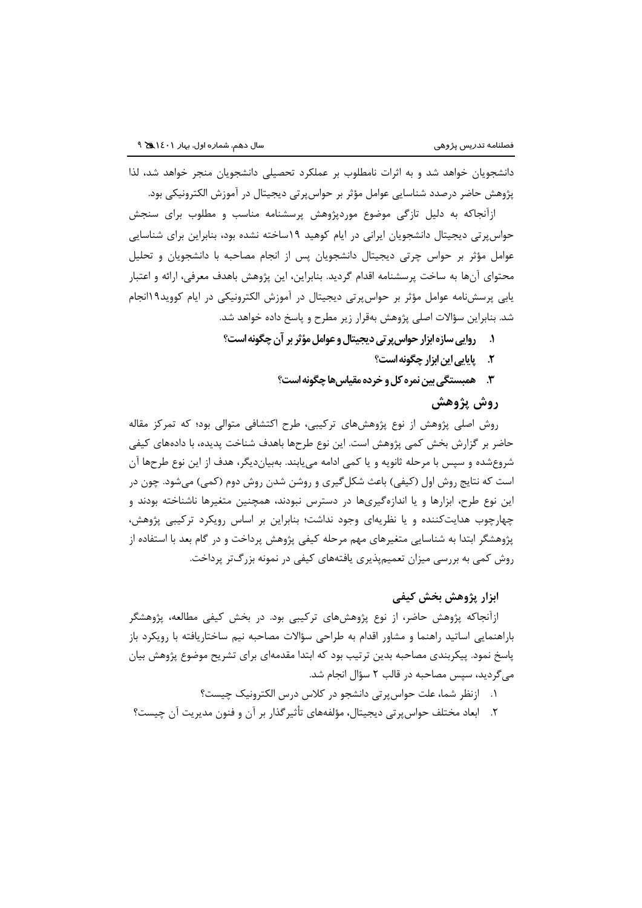دانشجویان خواهد شد و به اثرات نامطلوب بر عملکرد تحصیلی دانشجویان منجر خواهد شد، لذا پژوهش حاضر درصدد شناسایی عوامل مؤثر بر حواسپرتی دیجیتال در آموزش الکترونیکی بود.

ازآنجاکه به دلیل تازگی موضوع موردپژوهش پرسشنامه مناسب و مطلوب برای سنجش حواسپرتی دیجیتال دانشجویان ایرانی در ایام کوهید 19ساخته نشده بود، بنابراین برای شناسایی عوامل مؤثر بر حواس چرتی دیجیتال دانشجویان پس از انجام مصاحبه با دانشجویان و تحلیل محتوای آنها به ساخت پرسشنامه اقدام گردید. بنابراین، این پژوهش باهدف معرفی، ارائه و اعتبار یابی پرسشنامه عوامل مؤثر بر حواسپرتی دیجیتال در آموزش الکترونیکی در ایام کووید19انجام شد. بنابراین سؤاالت اصلی پژوهش بهقرار زیر مطرح و پاسخ داده خواهد شد.

- **.۱ روایی سازه ابزار حواسپرتی دیجیتال و عوامل مؤثر بر آن چگونه است؟**
	- **.۲ پایایی این ابزار چگونه است؟**
	- **.3 همبستگی بین نمره کل و خرده مقیاسهاچگونه است؟**

# **روش پژوهش**

روش اصلی پژوهش از نوع پژوهشهای ترکیبی، طرح اکتشافی متوالی بود؛ که تمرکز مقاله حاضر بر گزارش بخش کمی پژوهش است. این نوع طرحها باهدف شناخت پدیده، با دادههای کیفی شروعشده و سپس با مرحله ثانویه و یا کمی ادامه مییابند. بهبیاندیگر، هدف از این نوع طرحها آن است که نتایج روش اول (کیفی) باعث شکل گیری و روشن شدن روش دوم (کمی) میشود. چون در این نوع طرح، ابزارها و یا اندازهگیریها در دسترس نبودند، همچنین متغیرها ناشناخته بودند و چهارچوب هدایتکننده و یا نظریهای وجود نداشت؛ بنابراین بر اساس رویکرد ترکیبی پژوهش، پژوهشگر ابتدا به شناسایی متغیرهای مهم مرحله کیفی پژوهش پرداخت و در گام بعد با استفاده از روش کمی به بررسی میزان تعمیمپذیری یافتههای کیفی در نمونه بزرگتر پرداخت.

# **ابزار پژوهش بخش کیفی**

ازآنجاکه پژوهش حاضر، از نوع پژوهشهای ترکیبی بود. در بخش کیفی مطالعه، پژوهشگر باراهنمایی اساتید راهنما و مشاور اقدام به طراحی سؤاالت مصاحبه نیم ساختاریافته با رویکرد باز پاسخ نمود. پیکربندی مصاحبه بدین ترتیب بود که ابتدا مقدمهای برای تشریح موضوع پژوهش بیان میگردید، سپس مصاحبه در قالب 2 سؤال انجام شد.

- .1 ازنظر شما، علت حواسپرتی دانشجو در کالس درس الکترونیک چیست؟
- .2 ابعاد مختلف حواسپرتی دیجیتال، مؤلفههای تأثیرگذار بر آن و فنون مدیریت آن چیست؟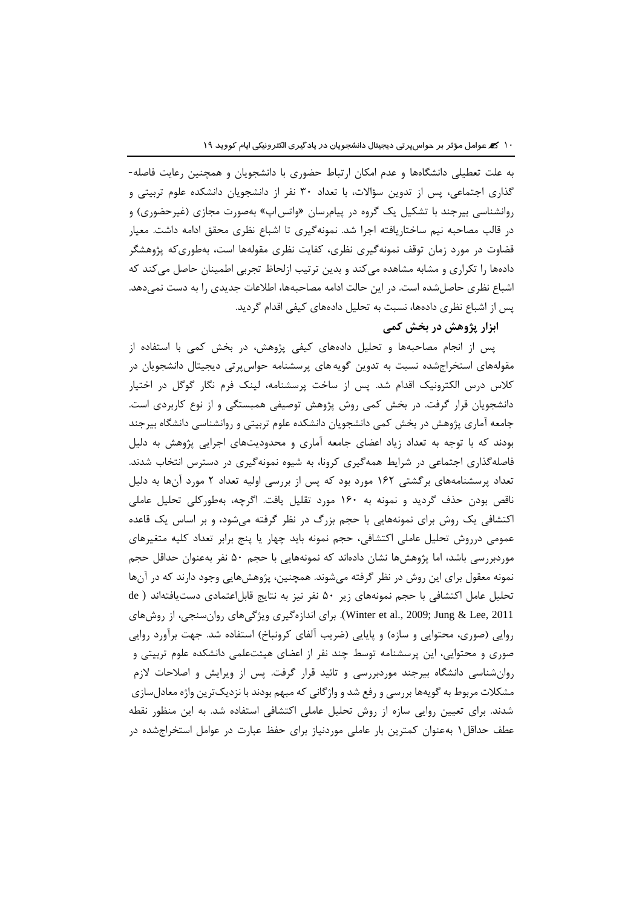به علت تعطیلی دانشگاهها و عدم امکان ارتباط حضوری با دانشجویان و همچنین رعایت فاصله- گذاری اجتماعی، پس از تدوین سؤاالت، با تعداد 30 نفر از دانشجویان دانشکده علوم تربیتی و روانشناسی بیرجند با تشکیل یک گروه در پیامرسان »واتساپ« بهصورت مجازی )غیرحضوری( و در قالب مصاحبه نیم ساختاریافته اجرا شد. نمونهگیری تا اشباع نظری محقق ادامه داشت. معیار قضاوت در مورد زمان توقف نمونهگیری نظری، کفایت نظری مقولهها است، بهطوریکه پژوهشگر دادهها را تکراری و مشابه مشاهده میکند و بدین ترتیب ازلحاظ تجربی اطمینان حاصل میکند که اشباع نظری حاصلشده است. در این حالت ادامه مصاحبهها، اطالعات جدیدی را به دست نمیدهد. پس از اشباع نظری دادهها، نسبت به تحلیل دادههای کیفی اقدام گردید.

**ابزار پژوهش در بخش کمی**

پس از انجام مصاحبهها و تحلیل دادههای کیفی پژوهش، در بخش کمی با استفاده از مقولههای استخراجشده نسبت به تدوین گویه های پرسشنامه حواسپرتی دیجیتال دانشجویان در کالس درس الکترونیک اقدام شد. پس از ساخت پرسشنامه، لینک فرم نگار گوگل در اختیار دانشجویان قرار گرفت. در بخش کمی روش پژوهش توصیفی همبستگی و از نوع کاربردی است. جامعه آماری پژوهش در بخش کمی دانشجویان دانشکده علوم تربیتی و روانشناسی دانشگاه بیرجند بودند که با توجه به تعداد زیاد اعضای جامعه آماری و محدودیتهای اجرایی پژوهش به دلیل فاصلهگذاری اجتماعی در شرایط همهگیری کرونا، به شیوه نمونهگیری در دسترس انتخاب شدند. تعداد پرسشنامههای برگشتی 162 مورد بود که پس از بررسی اولیه تعداد 2 مورد آنها به دلیل ناقص بودن حذف گردید و نمونه به 160 مورد تقلیل یافت. اگرچه، بهطورکلی تحلیل عاملی اکتشافی یک روش برای نمونههایی با حجم بزرگ در نظر گرفته میشود، و بر اساس یک قاعده عمومی درروش تحلیل عاملی اکتشافی، حجم نمونه باید چهار یا پنج برابر تعداد کلیه متغیرهای موردبررسی باشد، اما پژوهشها نشان دادهاند که نمونههایی با حجم 50 نفر بهعنوان حداقل حجم نمونه معقول برای این روش در نظر گرفته میشوند. همچنین، پژوهشهایی وجود دارند که در آنها تحلیل عامل اکتشافی با حجم نمونههای زیر 50 نفر نیز به نتایج قابلاعتمادی دستیافتهاند ) de 2011 ,Lee & Jung; 2009 .,al et Winter). برای اندازهگیری ویژگیهای روانسنجی، از روشهای روایی (صوری، محتوایی و سازه) و پایایی (ضریب آلفای کرونباخ) استفاده شد. جهت برآورد روایی صوری و محتوایی، این پرسشنامه توسط چند نفر از اعضای هیئتعلمی دانشکده علوم تربیتی و روانشناسی دانشگاه بیرجند موردبررسی و تائید قرار گرفت. پس از ویرایش و اصالحات الزم مشکالت مربوط به گویهها بررسی و رفع شد و واژگانی که مبهم بودند با نزدیکترین واژه معادلسازی شدند. برای تعیین روایی سازه از روش تحلیل عاملی اکتشافی استفاده شد. به این منظور نقطه عطف حداقل1 بهعنوان کمترین بار عاملی موردنیاز برای حفظ عبارت در عوامل استخراجشده در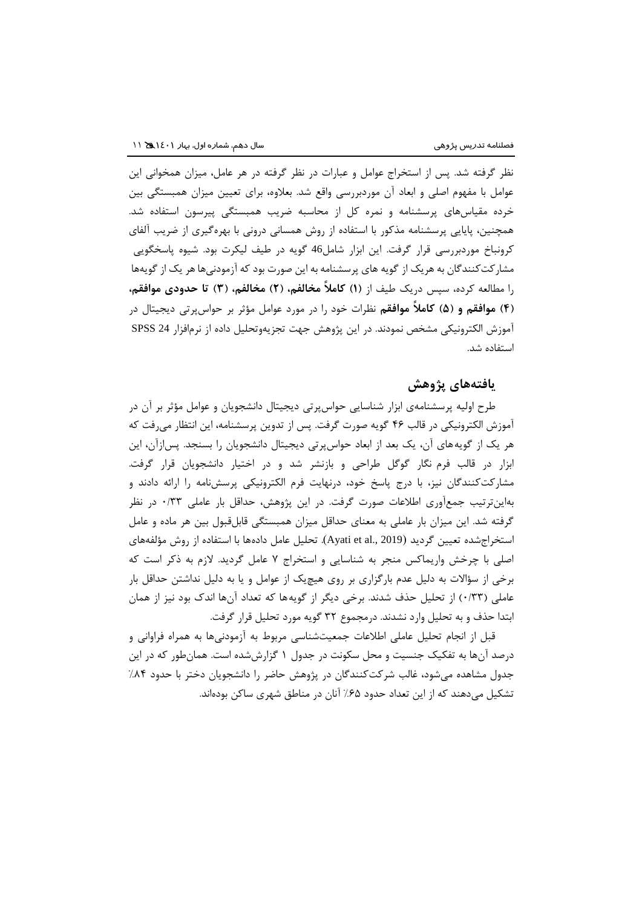نظر گرفته شد. پس از استخراج عوامل و عبارات در نظر گرفته در هر عامل، میزان همخوانی این عوامل با مفهوم اصلی و ابعاد آن موردبررسی واقع شد. بعالوه، برای تعیین میزان همبستگی بین خرده مقیاسهای پرسشنامه و نمره کل از محاسبه ضریب همبستگی پیرسون استفاده شد. همچنین، پایایی پرسشنامه مذکور با استفاده از روش همسانی درونی با بهرهگیری از ضریب آلفای کرونباخ موردبررسی قرار گرفت. این ابزار شامل46 گویه در طیف لیکرت بود. شیوه پاسخگویی مشارکتکنندگان به هریک از گویه های پرسشنامه به این صورت بود که آزمودنیهاهر یک از گویهها را مطالعه کرده، سپس دریک طیف از **)۱( کامالً مخالفم، )۲( مخالفم، )3( تا حدودی موافقم، )۴( موافقم و )5( کامالً موافقم** نظرات خود را در مورد عوامل مؤثر بر حواسپرتی دیجیتال در آموزش الکترونیکی مشخص نمودند. در این پژوهش جهت تجزیهوتحلیل داده از نرمافزار 24 SPSS استفاده شد.

# **یافتههای پژوهش**

طرح اولیه پرسشنامهی ابزار شناسایی حواسپرتی دیجیتال دانشجویان و عوامل مؤثر بر آن در آموزش الکترونیکی در قالب 46 گویه صورت گرفت. پس از تدوین پرسشنامه، این انتظار میرفت که هر یک از گویههای آن، یک بعد از ابعاد حواسپرتی دیجیتال دانشجویان را بسنجد. پسازآن، این ابزار در قالب فرم نگار گوگل طراحی و بازنشر شد و در اختیار دانشجویان قرار گرفت. مشارکتکنندگان نیز، با درج پاسخ خود، درنهایت فرم الکترونیکی پرسشنامه را ارائه دادند و بهاینترتیب جمعآوری اطالعات صورت گرفت. در این پژوهش، حداقل بار عاملی 0/33 در نظر گرفته شد. این میزان بار عاملی به معنای حداقل میزان همبستگی قابلقبول بین هر ماده و عامل استخراجشده تعیین گردید )2019 .,al et Ayati). تحلیل عامل دادهها با استفاده از روش مؤلفههای اصلی با چرخش واریماکس منجر به شناسایی و استخراج 7 عامل گردید. الزم به ذکر است که برخی از سؤاالت به دلیل عدم بارگزاری بر روی هیچیک از عوامل و یا به دلیل نداشتن حداقل بار عاملی (۱۳۳) از تحلیل حذف شدند. برخی دیگر از گویهها که تعداد آنها اندک بود نیز از همان ابتدا حذف و به تحلیل وارد نشدند. درمجموع 32 گویه مورد تحلیل قرار گرفت.

قبل از انجام تحلیل عاملی اطالعات جمعیتشناسی مربوط به آزمودنیها به همراه فراوانی و درصد آنها به تفکیک جنسیت و محل سکونت در جدول 1 گزارششده است. همانطور که در این جدول مشاهده میشود، غالب شرکتکنندگان در پژوهش حاضر را دانشجویان دختر با حدود %84 تشکیل میدهند که از این تعداد حدود %65 آنان در مناطق شهری ساکن بودهاند.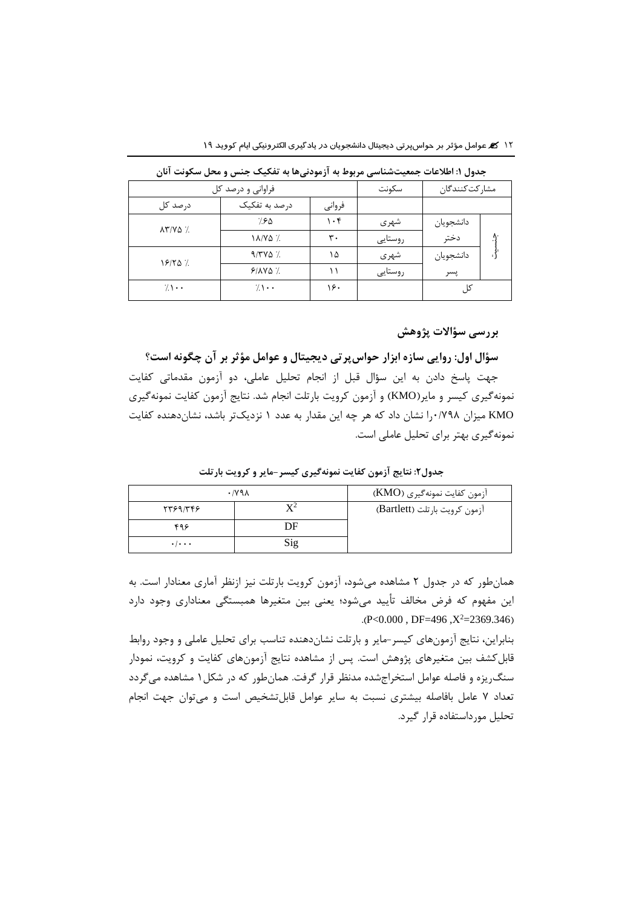|                                 | فراوانی و درصد کل | سكونت     | مشاركت كنندگان |           |  |
|---------------------------------|-------------------|-----------|----------------|-----------|--|
| درصد کل                         | درصد به تفکیک     | فرواني    |                |           |  |
| $\lambda \Upsilon / V \Delta$ / | ۷۶۵               | $\cdot$ ۴ | شهري           | دانشجويان |  |
|                                 | 18/40 %           | ٣٠        | روستايى        | دختر      |  |
| 181257.                         | $9/7V\Delta$ %    | ۱۵        | شهري           | دانشجويان |  |
|                                 | $9/NVQ$ %         |           | روستايى        | پسر       |  |
| $7 \cdot \cdot$                 | $7 \cdot \cdot$   | ۱۶۰       |                | کا .      |  |

**جدول :۱ اطالعات جمعیتشناسی مربوط به آزمودنیها به تفکیک جنس و محل سکونت آنان**

# **بررسی سؤاالت پژوهش**

**سؤال اول: روایی سازه ابزار حواسپرتی دیجیتال و عوامل مؤثر بر آن چگونه است؟** جهت پاسخ دادن به این سؤال قبل از انجام تحلیل عاملی، دو آزمون مقدماتی کفایت نمونهگیری کیسر و مایر)KMO )و آزمون کرویت بارتلت انجام شد. نتایج آزمون کفایت نمونهگیری KMO میزان 0/798را نشان داد که هر چه این مقدار به عدد 1 نزدیکتر باشد، نشاندهنده کفایت نمونهگیری بهتر برای تحلیل عاملی است.

|                           | $\cdot$ /y 9 $\lambda$ | آزمون كفايت نمونهگيري (KMO)   |
|---------------------------|------------------------|-------------------------------|
| 5589/448                  |                        | ازمون کرویت بارتلت (Bartlett) |
| ۴۹۶                       | DF                     |                               |
| $\cdot$ / $\cdot$ $\cdot$ | Sig                    |                               |

**جدول:۲ نتایج آزمون کفایت نمونهگیری کیسر-مایر و کرویت بارتلت**

همانطور که در جدول 2 مشاهده میشود، آزمون کرویت بارتلت نیز ازنظر آماری معنادار است. به این مفهوم که فرض مخالف تأیید میشود؛ یعنی بین متغیرها همبستگی معناداری وجود دارد  $P < 0.000$ , DF=496,  $X^2 = 2369.346$ 

بنابراین، نتایج آزمونهای کیسر-مایر و بارتلت نشاندهنده تناسب برای تحلیل عاملی و وجود روابط قابلکشف بین متغیرهای پژوهش است. پس از مشاهده نتایج آزمونهای کفایت و کرویت، نمودار سنگریزه و فاصله عوامل استخراجشده مدنظر قرار گرفت. همانطور که در شکل1 مشاهده میگردد تعداد 7 عامل بافاصله بیشتری نسبت به سایر عوامل قابلتشخیص است و میتوان جهت انجام تحلیل مورداستفاده قرار گیرد.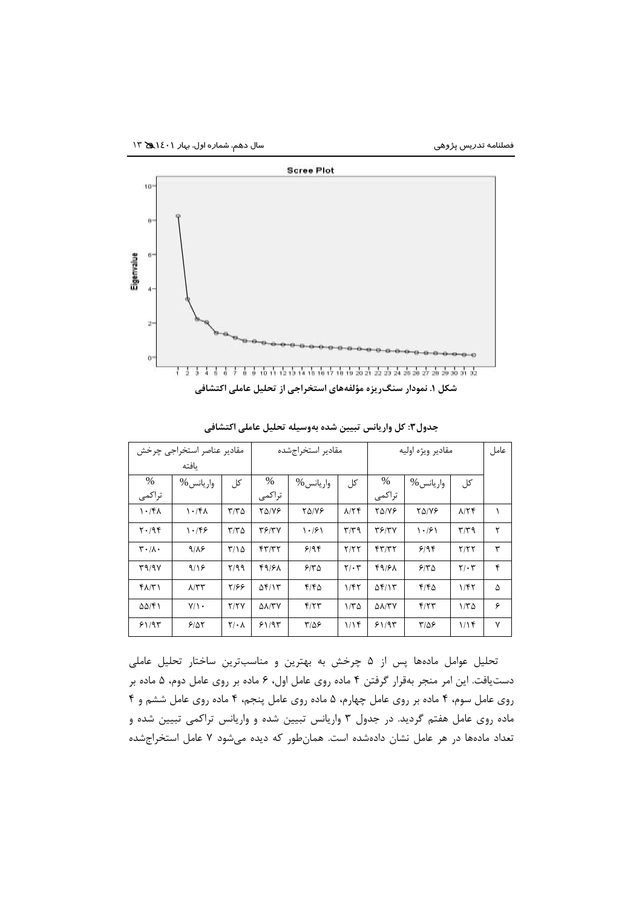

|                                 | مقادير عناصر استخراجي چرخش |                    |                     | مقادير استخراجشده |                           |                        | مقادير ويژه اوليه |                           | عامل         |
|---------------------------------|----------------------------|--------------------|---------------------|-------------------|---------------------------|------------------------|-------------------|---------------------------|--------------|
|                                 | ىافتە                      |                    |                     |                   |                           |                        |                   |                           |              |
| $\%$                            | واريانس %                  | کل                 | $\%$                | واريانس %         | کل                        | %                      | واريانس %         | کل                        |              |
| تراكمي                          |                            |                    | تراكمي              |                   |                           | تراكمي                 |                   |                           |              |
| 1.76                            | 1.76                       | $T/T\Delta$        | $Y\Delta/VP$        | <b>TAIVE</b>      | $\lambda$ /٢۴             | <b>TAIVE</b>           | <b>TAIVE</b>      | $\lambda$ /٢۴             |              |
| $Y \cdot 199$                   | 1.199                      | $\tau/\tau \Delta$ | <b>٣۶/٣٧</b>        | 1.191             | $\mathbf{r}/\mathbf{r}$ 9 | T5/YY                  | 1.191             | $\mathbf{r}/\mathbf{r}$ 9 | ٢            |
| $\mathbf{r} \cdot / \mathbf{A}$ | 9/18                       | $T/\Omega$         | FT/TT               | 9/9               | Y/YY                      | FT/TT                  | 9/99              | Y/YY                      | ٣            |
| T9/9V                           | 9/19                       | 7/99               | 49/61               | 5180              | 7.5                       | 49181                  | 510               | $Y/\cdot Y$               | ۴            |
| $f\Lambda/\Upsilon$             | $\Lambda/\tau\tau$         | ۲۱۶۶               | $\Delta f/\gamma$   | $F/F\Delta$       | 1/fT                      | $\Delta f/\gamma$      | $F/F\Delta$       | 1/fT                      | ۵            |
| $\Delta\Delta/\mathfrak{F}$     | $Y/\rightarrow$            | Y/YY               | $\Delta\lambda$ /٣٧ | Y/YY              | $1/\Gamma \Delta$         | $\Delta\lambda/\tau$ Y | f/T               | $1/\tau \Delta$           | ۶            |
| 51/95                           | 9/27                       | $Y/\cdot \Lambda$  | 51/97               | $T/\Delta P$      | 1/15                      | 51/95                  | $T/\Delta P$      | 1/15                      | $\mathsf{v}$ |

**جدول:3 کل واریانس تبیین شده بهوسیله تحلیل عاملی اکتشافی**

تحلیل عوامل مادهها پس از 5 چرخش به بهترین و مناسبترین ساختار تحلیل عاملی دستیافت. این امر منجر بهقرار گرفتن 4 ماده روی عامل اول، 6 ماده بر روی عامل دوم، 5 ماده بر روی عامل سوم، 4 ماده بر روی عامل چهارم، 5 ماده روی عامل پنجم، 4 ماده روی عامل ششم و 4 ماده روی عامل هفتم گردید. در جدول 3 واریانس تبیین شده و واریانس تراکمی تبیین شده و تعداد مادهها در هر عامل نشان دادهشده است. همانطور که دیده میشود 7 عامل استخراجشده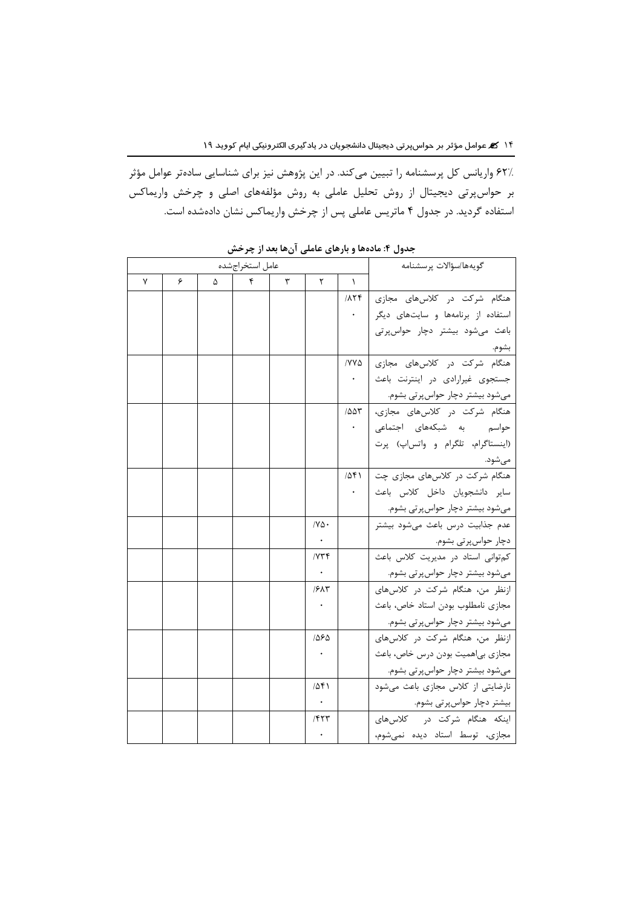62% واریانس کل پرسشنامه را تبیین میکند. در این پژوهش نیز برای شناسایی سادهتر عوامل مؤثر بر حواسپرتی دیجیتال از روش تحلیل عاملی به روش مؤلفههای اصلی و چرخش واریماکس استفاده گردید. در جدول 4 ماتریس عاملی پس از چرخش واریماکس نشان دادهشده است.

| گويەھا/سؤالات پرسشنامە             |                     |                         |   | عامل استخراجشده |   |   |   |
|------------------------------------|---------------------|-------------------------|---|-----------------|---|---|---|
|                                    | $\lambda$           | ٢                       | ٣ | ۴               | Δ | ۶ | ٧ |
| هنگام شرکت در کلاسهای مجازی        | $\Delta \mathbf{Y}$ |                         |   |                 |   |   |   |
| استفاده از برنامهها و سایتهای دیگر |                     |                         |   |                 |   |   |   |
| باعث می شود بیشتر دچار حواسپرتی    |                     |                         |   |                 |   |   |   |
| بشوم.                              |                     |                         |   |                 |   |   |   |
| هنگام شرکت در کلاس های مجازی       | $/YV\Delta$         |                         |   |                 |   |   |   |
| جستجوی غیرارادی در اینترنت باعث    |                     |                         |   |                 |   |   |   |
| میشود بیشتر دچار حواس پرتی بشوم.   |                     |                         |   |                 |   |   |   |
| هنگام شرکت در کلاسهای مجازی،       | 100 <sup>T</sup>    |                         |   |                 |   |   |   |
| حواسم به شبکههای اجتماعی           |                     |                         |   |                 |   |   |   |
| (اینستاگرام، تلگرام و واتس اپ) پرت |                     |                         |   |                 |   |   |   |
| مىشود.                             |                     |                         |   |                 |   |   |   |
| هنگام شرکت در کلاسهای مجازی چت     | 1051                |                         |   |                 |   |   |   |
| ساير دانشجويان داخل كلاس باعث      |                     |                         |   |                 |   |   |   |
| میشود بیشتر دچار حواسپرتی بشوم.    |                     |                         |   |                 |   |   |   |
| عدم جذابیت درس باعث میشود بیشتر    |                     | $\overline{N\Delta}$    |   |                 |   |   |   |
| دچار حواسپرتی بشوم.                |                     |                         |   |                 |   |   |   |
| كم توانى استاد در مديريت كلاس باعث |                     | $/ Y \uparrow \uparrow$ |   |                 |   |   |   |
| میشود بیشتر دچار حواسپرتی بشوم.    |                     |                         |   |                 |   |   |   |
| ازنظر من، هنگام شركت در كلاس هاى   |                     | ۶۸۳/                    |   |                 |   |   |   |
| مجازى نامطلوب بودن استاد خاص، باعث |                     |                         |   |                 |   |   |   |
| میشود بیشتر دچار حواس پرتی بشوم.   |                     |                         |   |                 |   |   |   |
| ازنظر من، هنگام شركت در كلاس هاى   |                     | 1565                    |   |                 |   |   |   |
| مجازی بی اهمیت بودن درس خاص، باعث  |                     |                         |   |                 |   |   |   |
| میشود بیشتر دچار حواس پرتی بشوم.   |                     |                         |   |                 |   |   |   |
| نارضایتی از کلاس مجازی باعث می شود |                     | ۱۵۴۱                    |   |                 |   |   |   |
| بیشتر دچار حواسپرتی بشوم.          |                     |                         |   |                 |   |   |   |
| اینکه هنگام شرکت در کلاسهای        |                     | 1557                    |   |                 |   |   |   |
| مجازی، توسط استاد دیده نمی شوم،    |                     |                         |   |                 |   |   |   |

**جدول :۴ مادهها و بارهای عاملی آنها بعد از چرخش**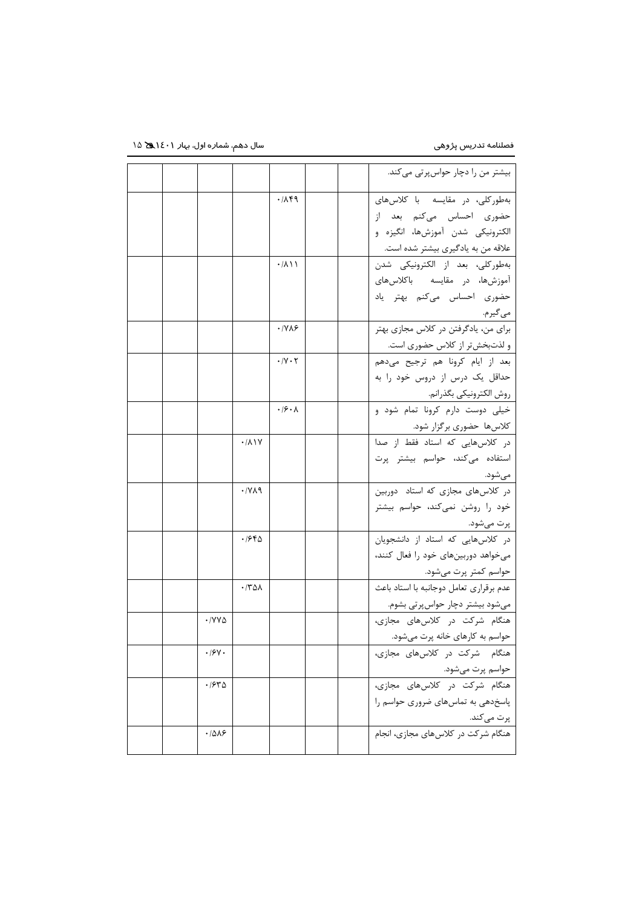|  |                                     |                             |                            |  | بیشتر من را دچار حواسپرتی میکند.            |
|--|-------------------------------------|-----------------------------|----------------------------|--|---------------------------------------------|
|  |                                     |                             | ۰/۸۴۹                      |  | بهطورکلی، در مقایسه با کلاس های             |
|  |                                     |                             |                            |  | حضوري احساس مي كنم بعد از                   |
|  |                                     |                             |                            |  | الكترونيكي شدن آموزشها، انگيزه و            |
|  |                                     |                             |                            |  | علاقه من به یادگیری بیشتر شده است.          |
|  |                                     |                             | ۰/۸۱۱                      |  | بهطوركلي، بعد از الكترونيكي شدن             |
|  |                                     |                             |                            |  | آموزشها، در مقایسه باکلاسهای                |
|  |                                     |                             |                            |  | حضوری احساس میکنم بهتر یاد                  |
|  |                                     |                             |                            |  | مي گيرم.                                    |
|  |                                     |                             | ۰/۷۸۶                      |  | برای من، یادگرفتن در کلاس مجازی بهتر        |
|  |                                     |                             |                            |  | و لذتبخشتر از کلاس حضوری است.               |
|  |                                     |                             | $\cdot$ /Y $\cdot$ $\cdot$ |  | بعد از ایام کرونا هم ترجیح میدهم            |
|  |                                     |                             |                            |  | حداقل یک درس از دروس خود را به              |
|  |                                     |                             |                            |  | روش الكترونيكي بگذرانم.                     |
|  |                                     |                             | $\cdot$ /۶ $\cdot$ ۸       |  | خیلی دوست دارم کرونا تمام شود و             |
|  |                                     |                             |                            |  | كلاسها حضوري برگزار شود.                    |
|  |                                     | $\cdot$ / $\wedge$ ) $\vee$ |                            |  | در کلاسهایی که استاد فقط از صدا             |
|  |                                     |                             |                            |  | استفاده میکند، حواسم بیشتر پرت              |
|  |                                     | ۰/۷۸۹                       |                            |  | مىشود.<br>در کلاس های مجازی که استاد دوربین |
|  |                                     |                             |                            |  | خود را روشن نمیکند، حواسم بیشتر             |
|  |                                     |                             |                            |  | پرت میشود.                                  |
|  |                                     | ۱۶۴۵                        |                            |  | در کلاسهایی که استاد از دانشجویان           |
|  |                                     |                             |                            |  | میخواهد دوربینهای خود را فعال کنند،         |
|  |                                     |                             |                            |  | حواسم کمتر پرت میشود.                       |
|  |                                     | ۰/۳۵۸                       |                            |  | عدم برقراري تعامل دوجانبه با استاد باعث     |
|  |                                     |                             |                            |  | میشود بیشتر دچار حواسپرتی بشوم.             |
|  | $\cdot$ / $\vee$ $\vee$ $\triangle$ |                             |                            |  | هنگام شرکت در کلاس های مجازی،               |
|  |                                     |                             |                            |  | حواسم به کارهای خانه پرت میشود.             |
|  | $\cdot$ /۶۷ $\cdot$                 |                             |                            |  | هنگام شرکت در کلاسهای مجازی،                |
|  |                                     |                             |                            |  | حواسم پرت میشود.                            |
|  | ۱۶۳۵.                               |                             |                            |  | هنگام شرکت در کلاسهای مجازی،                |
|  |                                     |                             |                            |  | پاسخدهی به تماس های ضروری حواسم را          |
|  |                                     |                             |                            |  | پرت میکند.                                  |
|  | .7018                               |                             |                            |  | هنگام شرکت در کلاس های مجازی، انجام         |
|  |                                     |                             |                            |  |                                             |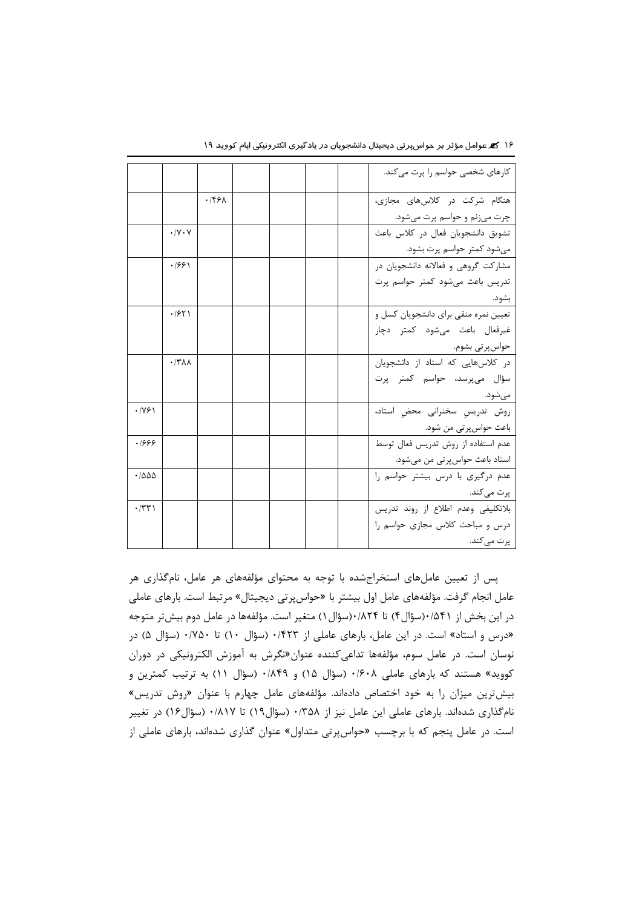|                                        |                             |                   |  |  | کارهای شخصی حواسم را پرت می کند.     |
|----------------------------------------|-----------------------------|-------------------|--|--|--------------------------------------|
|                                        |                             | .159 <sub>A</sub> |  |  | هنگام شرکت در کلاس های مجازی،        |
|                                        |                             |                   |  |  | چرت میزنم و حواسم پرت میشود.         |
|                                        | $\cdot$ /Y $\cdot$ Y        |                   |  |  | تشويق دانشجويان فعال در كلاس باعث    |
|                                        |                             |                   |  |  | میشود کمتر حواسم پرت بشود.           |
|                                        | .7991                       |                   |  |  | مشارکت گروهی و فعالانه دانشجویان در  |
|                                        |                             |                   |  |  | تدریس باعث میشود کمتر حواسم پرت      |
|                                        |                             |                   |  |  | بشود.                                |
|                                        | .1951                       |                   |  |  | تعیین نمره منفی برای دانشجویان کسل و |
|                                        |                             |                   |  |  | غیرفعال باعث میشود کمتر دچار         |
|                                        |                             |                   |  |  | حواس پر تي بشوم.                     |
|                                        | $\cdot$ /٣ $\Lambda\Lambda$ |                   |  |  | در کلاسهایی که استاد از دانشجویان    |
|                                        |                             |                   |  |  | سؤال میپرسد، حواسم کمتر پرت          |
|                                        |                             |                   |  |  | مے شود.                              |
| .1991                                  |                             |                   |  |  | روش تدريس سخنرانى محض استاد،         |
|                                        |                             |                   |  |  | باعث حواس پرتی من شود.               |
| .1999                                  |                             |                   |  |  | عدم استفاده از روش تدريس فعال توسط   |
|                                        |                             |                   |  |  | استاد باعث حواسپرتی من میشود.        |
| .7000                                  |                             |                   |  |  | عدم درگیری با درس بیشتر حواسم را     |
|                                        |                             |                   |  |  | پرت میکند.                           |
| $\cdot$ $ \mathbf{r}\mathbf{r}\rangle$ |                             |                   |  |  | بلاتكليفي وعدم اطلاع از روند تدريس   |
|                                        |                             |                   |  |  | درس و مباحث کلاس مجازی حواسم را      |
|                                        |                             |                   |  |  | پرت می کند.                          |

16 عوامل مؤثر بر حواسپرتی دیجیتال دانشجویان در یادگیری الکترونیکی ایام کووید 19

پس از تعیین عاملهای استخراجشده با توجه به محتوای مؤلفههای هر عامل، نامگذاری هر عامل انجام گرفت. مؤلفههای عامل اول بیشتر با »حواسپرتی دیجیتال« مرتبط است. بارهای عاملی در این بخش از 0/541)سؤال4( تا 0/824)سؤال1( متغیر است. مؤلفهها در عامل دوم بیشتر متوجه »درس و استاد« است. در این عامل، بارهای عاملی از 0/423 )سؤال 10( تا 0/750 )سؤال 5( در نوسان است. در عامل سوم، مؤلفهها تداعیکننده عنوان»نگرش به آموزش الکترونیکی در دوران کووید» هستند که بارهای عاملی ۰/۶۰۸ (سؤال ۱۵) و ۰/۸۴۹ (سؤال ۱۱) به ترتیب کمترین و بیشترین میزان را به خود اختصاص دادهاند. مؤلفههای عامل چهارم با عنوان »روش تدریس« نامگذاری شدهاند. بارهای عاملی این عامل نیز از 0/358 )سؤال19( تا 0/817 )سؤال16( در تغییر است. در عامل پنجم که با برچسب »حواسپرتی متداول« عنوان گذاری شدهاند، بارهای عاملی از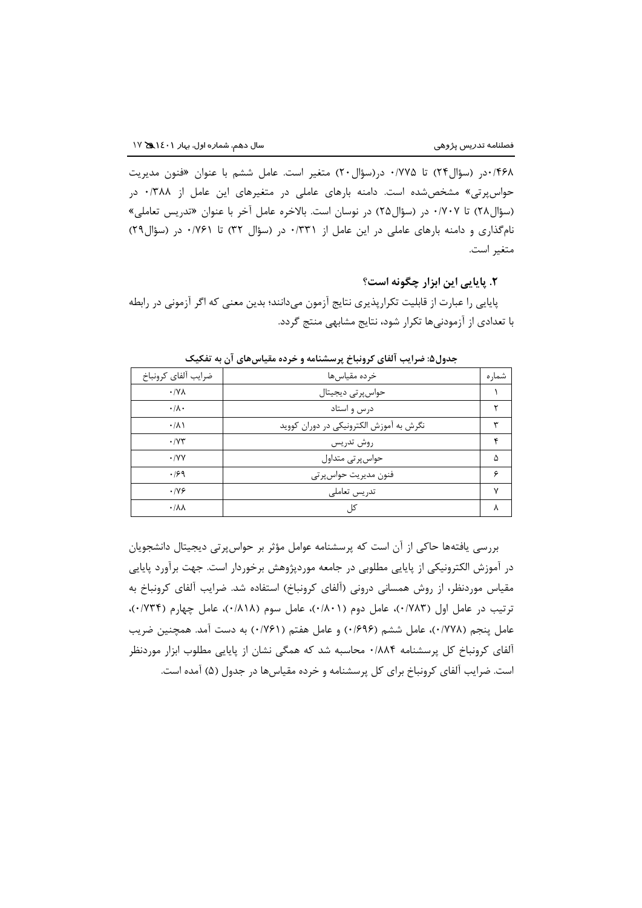0/468در )سؤال24( تا 0/775 در)سؤال20( متغیر است. عامل ششم با عنوان »فنون مدیریت حواسپرتی» مشخص شده است. دامنه بارهای عاملی در متغیرهای این عامل از ۰/۳۸۸ در )سؤال28( تا 0/707 در )سؤال25( در نوسان است. باالخره عامل آخر با عنوان »تدریس تعاملی« نامگذاری و دامنه بارهای عاملی در این عامل از ۰/۳۳۱ در (سؤال ۳۲) تا ۰/۷۶۱ در (سؤال۲۹) متغیر است.

## **.۲ پایایی این ابزار چگونه است؟**

پایایی را عبارت از قابلیت تکرارپذیری نتایج آزمون میدانند؛ بدین معنی که اگر آزمونی در رابطه با تعدادی از آزمودنیها تکرار شود، نتایج مشابهی منتج گردد.

| ضرايب ألفاي كرونباخ     | خرده مقياسها                            | شمار ه |
|-------------------------|-----------------------------------------|--------|
| $\cdot$ / Y $\wedge$    | حواس پر تی دیجیتال                      |        |
| $\cdot/\lambda$ .       | درس و استاد                             |        |
| $\cdot/\lambda$         | نگرش به آموزش الکترونیکی در دوران کووید | ٣      |
| .1YY                    | روش تدريس                               | ۴      |
| $\cdot$ / $\vee$ $\vee$ | حواس پر تی متداول                       | ۵      |
| .199                    | فنون مديريت حواس پر تي                  | ç      |
| .199                    | تدريس تعاملي                            | ٧      |
| $\cdot/\lambda\lambda$  | کا ،                                    | ٨      |

**جدول:5 ضرایب آلفای کرونباخ پرسشنامه و خرده مقیاسهای آن به تفکیک**

بررسی یافتهها حاکی از آن است که پرسشنامه عوامل مؤثر بر حواسپرتی دیجیتال دانشجویان در آموزش الکترونیکی از پایایی مطلوبی در جامعه موردپژوهش برخوردار است. جهت برآورد پایایی مقیاس موردنظر، از روش همسانی درونی (آلفای کرونباخ) استفاده شد. ضرایب آلفای کرونباخ به ترتیب در عامل اول (۷۸۳)، عامل دوم (۰/۸۰۱)، عامل سوم (۰/۸۱۸)، عامل چهارم (۰/۷۳۴)، عامل پنجم (۱٬۷۷۸)، عامل ششم (۱٬۶۹۶) و عامل هفتم (۱٬۷۶۱) به دست آمد. همچنین ضریب آلفای کرونباخ کل پرسشنامه 0/884 محاسبه شد که همگی نشان از پایایی مطلوب ابزار موردنظر است. ضرایب آلفای کرونباخ برای کل پرسشنامه و خرده مقیاسها در جدول )5( آمده است.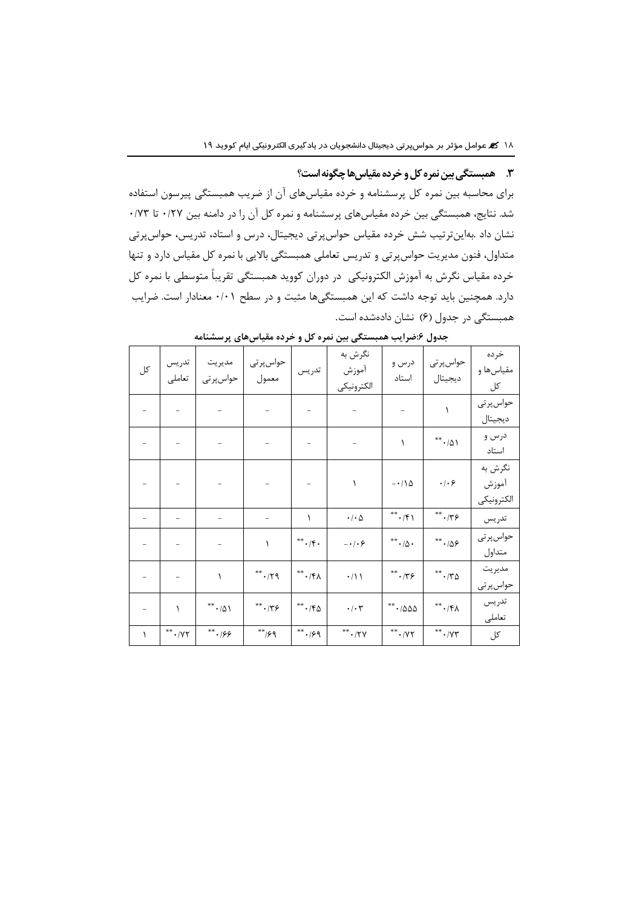### **.3 همبستگی بین نمره کل و خرده مقیاسهاچگونه است؟**

برای محاسبه بین نمره کل پرسشنامه و خرده مقیاسهای آن از ضریب همبستگی پیرسون استفاده شد. نتایج، همبستگی بین خرده مقیاسهای پرسشنامه و نمره کل آن را در دامنه بین 0/27 تا 0/73 نشان داد .بهاینترتیب شش خرده مقیاس حواسپرتی دیجیتال، درس و استاد، تدریس، حواسپرتی متداول، فنون مدیریت حواسپرتی و تدریس تعاملی همبستگی باالیی با نمره کل مقیاس دارد و تنها خرده مقیاس نگرش به آموزش الکترونیکی در دوران کووید همبستگی تقریباً متوسطی با نمره کل دارد. همچنین باید توجه داشت که این همبستگیها مثبت و در سطح 0/01 معنادار است. ضرایب همبستگی در جدول (۶) نشان دادهشده است.

| کل                       | تدريس<br>تعاملي          | مديريت<br>حواس پر تی  | حواس پر تی<br>معمول      | تدريس                           | نگرش به<br>أموزش<br>الكترونيكي | درس و<br>استاد                     | حواس پر تی<br>ديجيتال               | خرده<br>مقياسها و<br>کل        |
|--------------------------|--------------------------|-----------------------|--------------------------|---------------------------------|--------------------------------|------------------------------------|-------------------------------------|--------------------------------|
|                          |                          |                       |                          |                                 |                                |                                    | $\lambda$                           | حواس پر تی<br>ديجيتال          |
|                          |                          |                       |                          |                                 |                                | $\lambda$                          | $^{**}\cdot/\Delta$ \               | درس و<br>استاد                 |
|                          |                          |                       |                          |                                 | ١                              | $-\cdot/\lambda$                   | $\cdot$ / $\cdot$ $\varphi$         | نگرش به<br>آموزش<br>الكترونيكي |
|                          |                          |                       | $\overline{\phantom{a}}$ | ١                               | $\cdot$ / $\cdot$ $\Delta$     | $^{**}\cdot/\mathfrak{f}$ )        | $^{\ast\ast}\cdot$ /٣۶              | تدريس                          |
|                          |                          |                       | $\lambda$                | $^{**}\cdot/\mathfrak{f}\cdot$  | $- \cdot / \cdot 5$            | ${}^{**}\cdot/\Delta$ .            | ${}^{**}\cdot$ / $\Delta$ $\varphi$ | حواس پر تی<br>متداول           |
|                          | $\overline{\phantom{0}}$ | $\lambda$             | $^{\ast\ast}\cdot$ /٢٩   | $\gamma\gamma, \ast^*$          | $\cdot/11$                     | ${}^{**}\cdot/75$                  | $^{**} \cdot / 70$                  | مديريت<br>حواس پر تی           |
| $\overline{\phantom{0}}$ | $\lambda$                | $^{**}$ - $/\Delta$ \ | ${}^{**}\cdot$ /٣۶       | $^{**}$ - / $\uparrow \upDelta$ | $\cdot/\cdot7$                 | $^{**}$ - $/ \Delta \Delta \Delta$ | $**$ $\cdot$ /۴۸                    | تدريس<br>تعاملى                |
| ١                        | $^{**}$ $\cdot$ /Y۲      | $^{**} \cdot 199$     | $*^*$ /۶۹                | $***$ ./۶۹                      | $^{**}$ . /۲۷                  | $^{**}$ . /<br>Y٢                  | $^{**}$ . /<br>Y٣                   | کل                             |

**جدول :6ضرایب همبستگی بین نمره کل و خرده مقیاسهای پرسشنامه**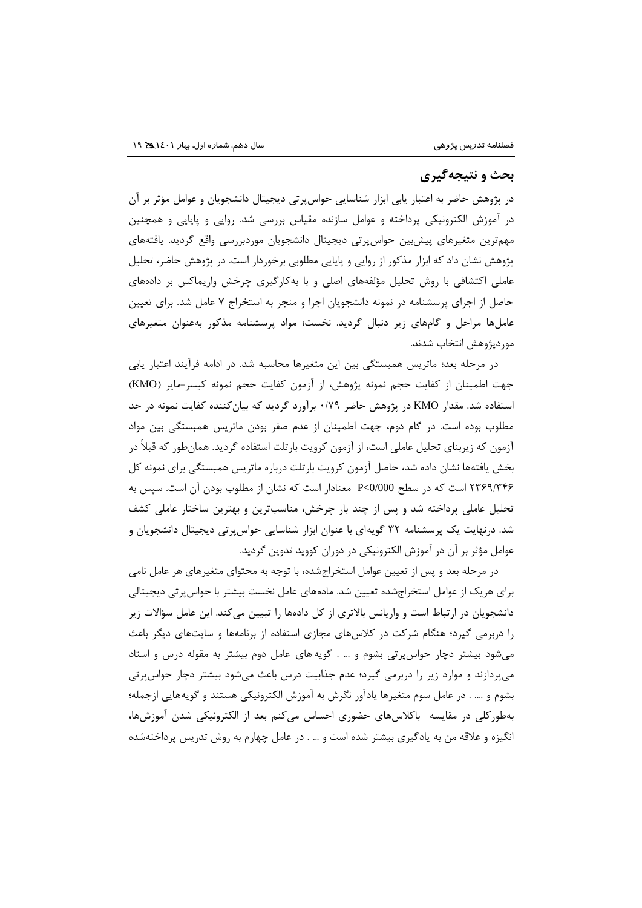#### **بحث و نتیجهگیری**

در پژوهش حاضر به اعتبار یابی ابزار شناسایی حواسپرتی دیجیتال دانشجویان و عوامل مؤثر بر آن در آموزش الکترونیکی پرداخته و عوامل سازنده مقیاس بررسی شد. روایی و پایایی و همچنین مهمترین متغیرهای پیشبین حواسپرتی دیجیتال دانشجویان موردبررسی واقع گردید. یافتههای پژوهش نشان داد که ابزار مذکور از روایی و پایایی مطلوبی برخوردار است. در پژوهش حاضر، تحلیل عاملی اکتشافی با روش تحلیل مؤلفههای اصلی و با بهکارگیری چرخش واریماکس بر دادههای حاصل از اجرای پرسشنامه در نمونه دانشجویان اجرا و منجر به استخراج 7 عامل شد. برای تعیین عاملها مراحل و گامهای زیر دنبال گردید. نخست؛ مواد پرسشنامه مذکور بهعنوان متغیرهای موردپژوهش انتخاب شدند.

در مرحله بعد؛ ماتریس همبستگی بین این متغیرها محاسبه شد. در ادامه فرآیند اعتبار یابی جهت اطمینان از کفایت حجم نمونه پژوهش، از آزمون کفایت حجم نمونه کیسر-مایر )KMO) استفاده شد. مقدار KMO در پژوهش حاضر 0/79 برآورد گردید که بیانکننده کفایت نمونه در حد مطلوب بوده است. در گام دوم، جهت اطمینان از عدم صفر بودن ماتریس همبستگی بین مواد آزمون که زیربنای تحلیل عاملی است، از آزمون کرویت بارتلت استفاده گردید. همانطور که قبالً در بخش یافتهها نشان داده شد، حاصل آزمون کرویت بارتلت درباره ماتریس همبستگی برای نمونه کل 2369/346 است که در سطح 0/000>P معنادار است که نشان از مطلوب بودن آن است. سپس به تحلیل عاملی پرداخته شد و پس از چند بار چرخش، مناسبترین و بهترین ساختار عاملی کشف شد. درنهایت یک پرسشنامه 32 گویهای با عنوان ابزار شناسایی حواسپرتی دیجیتال دانشجویان و عوامل مؤثر بر آن در آموزش الکترونیکی در دوران کووید تدوین گردید.

در مرحله بعد و پس از تعیین عوامل استخراجشده، با توجه به محتوای متغیرهای هر عامل نامی برای هریک از عوامل استخراجشده تعیین شد. مادههای عامل نخست بیشتر با حواسپرتی دیجیتالی دانشجویان در ارتباط است و واریانس بالاتری از کل دادهها را تبیین میکند. این عامل سؤالات زیر را دربرمی گیرد؛ هنگام شرکت در کالسهای مجازی استفاده از برنامهها و سایتهای دیگر باعث میشود بیشتر دچار حواسپرتی بشوم و ... . گویه های عامل دوم بیشتر به مقوله درس و استاد میپردازند و موارد زیر را دربرمی گیرد؛ عدم جذابیت درس باعث میشود بیشتر دچار حواسپرتی بشوم و .... . در عامل سوم متغیرها یادآور نگرش به آموزش الکترونیکی هستند و گویههایی ازجمله؛ بهطورکلی در مقایسه باکالسهای حضوری احساس میکنم بعد از الکترونیکی شدن آموزشها، انگیزه و عالقه من به یادگیری بیشتر شده است و ... . در عامل چهارم به روش تدریس پرداختهشده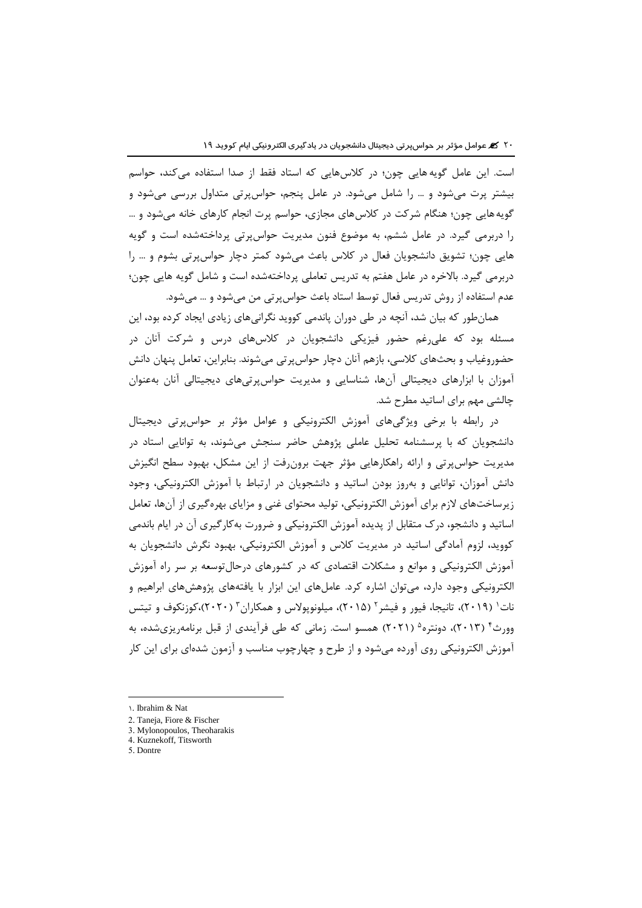است. این عامل گویه هایی چون؛ در کالسهایی که استاد فقط از صدا استفاده میکند، حواسم بیشتر پرت میشود و ... را شامل میشود. در عامل پنجم، حواسپرتی متداول بررسی میشود و گویههایی چون؛ هنگام شرکت در کالسهای مجازی، حواسم پرت انجام کارهای خانه میشود و ... را دربرمی گیرد. در عامل ششم، به موضوع فنون مدیریت حواسپرتی پرداختهشده است و گویه هایی چون؛ تشویق دانشجویان فعال در کالس باعث میشود کمتر دچار حواسپرتی بشوم و ... را دربرمی گیرد. باالخره در عامل هفتم به تدریس تعاملی پرداختهشده است و شامل گویه هایی چون؛ عدم استفاده از روش تدریس فعال توسط استاد باعث حواسپرتی من میشود و ... میشود.

همانطور که بیان شد، آنچه در طی دوران پاندمی کووید نگرانیهای زیادی ایجاد کرده بود، این مسئله بود که علیرغم حضور فیزیکی دانشجویان در کالسهای درس و شرکت آنان در حضوروغیاب و بحثهای کالسی، بازهم آنان دچار حواسپرتی میشوند. بنابراین، تعامل پنهان دانش آموزان با ابزارهای دیجیتالی آنها، شناسایی و مدیریت حواسپرتیهای دیجیتالی آنان بهعنوان چالشی مهم برای اساتید مطرح شد.

در رابطه با برخی ویژگیهای آموزش الکترونیکی و عوامل مؤثر بر حواسپرتی دیجیتال دانشجویان که با پرسشنامه تحلیل عاملی پژوهش حاضر سنجش میشوند، به توانایی استاد در مدیریت حواسپرتی و ارائه راهکارهایی مؤثر جهت برونرفت از این مشکل، بهبود سطح انگیزش دانش آموزان، توانایی و بهروز بودن اساتید و دانشجویان در ارتباط با آموزش الکترونیکی، وجود زیرساختهای الزم برای آموزش الکترونیکی، تولید محتوای غنی و مزایای بهرهگیری از آنها، تعامل اساتید و دانشجو، درک متقابل از پدیده آموزش الکترونیکی و ضرورت بهکارگیری آن در ایام باندمی کووید، لزوم آمادگی اساتید در مدیریت کالس و آموزش الکترونیکی، بهبود نگرش دانشجویان به آموزش الکترونیکی و موانع و مشکالت اقتصادی که در کشورهای درحالتوسعه بر سر راه آموزش الکترونیکی وجود دارد، میتوان اشاره کرد. عاملهای این ابزار با یافتههای پژوهشهای ابراهیم و نات' (۲۰۱۹)، تانیجا، فیور و فیشر<sup>۲</sup> (۲۰۱۵)، میلونوپولاس و همکاران<sup>۳</sup> (۲۰۲۰)،کوزنکوف و تیتس وورث<sup>۴</sup> (۲۰۱۳)، دونتره<sup>۵</sup> (۲۰۲۱) همسو است. زمانی که طی فرآیندی از قبل برنامهریزیشده، به آموزش الکترونیکی روی آورده میشود و از طرح و چهارچوب مناسب و آزمون شدهای برای این کار

 $\overline{a}$ 

<sup>1</sup>. Ibrahim & Nat

<sup>2.</sup> Taneja, Fiore & Fischer

<sup>3.</sup> Mylonopoulos, Theoharakis

<sup>4.</sup> Kuznekoff, Titsworth

<sup>5.</sup> Dontre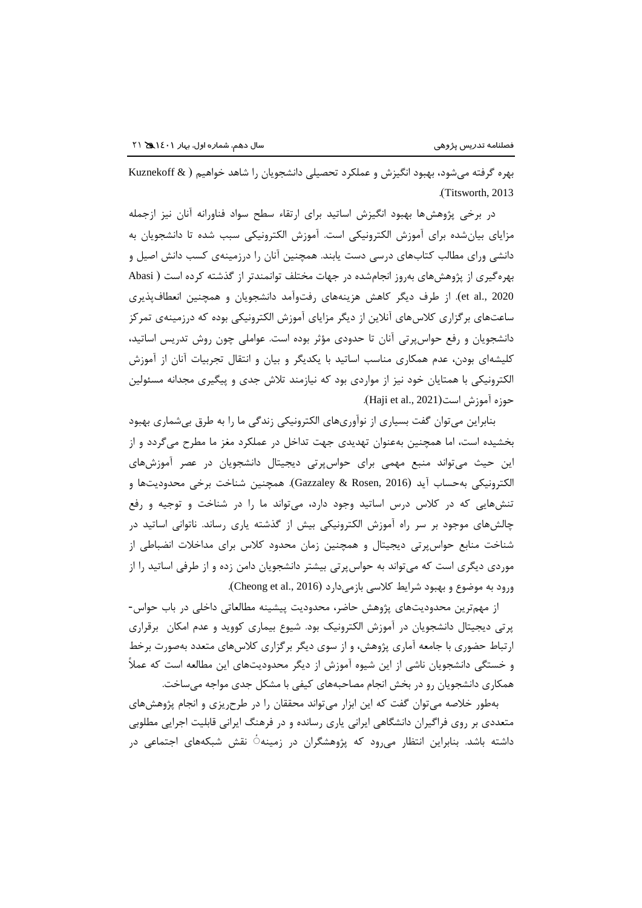بهره گرفته میشود، بهبود انگیزش و عملکرد تحصیلی دانشجویان را شاهد خواهیم ) & Kuznekoff .)Titsworth, 2013

در برخی پژوهشها بهبود انگیزش اساتید برای ارتقاء سطح سواد فناورانه آنان نیز ازجمله مزایای بیانشده برای آموزش الکترونیکی است. آموزش الکترونیکی سبب شده تا دانشجویان به دانشی ورای مطالب کتابهای درسی دست یابند. همچنین آنان را درزمینهی کسب دانش اصیل و بهرهگیری از پژوهشهای بهروز انجامشده در جهات مختلف توانمندتر از گذشته کرده است ) Abasi 2020 .,al et). از طرف دیگر کاهش هزینههای رفتوآمد دانشجویان و همچنین انعطافپذیری ساعتهای برگزاری کالسهای آنالین از دیگر مزایای آموزش الکترونیکی بوده که درزمینهی تمرکز دانشجویان و رفع حواسپرتی آنان تا حدودی مؤثر بوده است. عواملی چون روش تدریس اساتید، کلیشهای بودن، عدم همکاری مناسب اساتید با یکدیگر و بیان و انتقال تجربیات آنان از آموزش الکترونیکی با همتایان خود نیز از مواردی بود که نیازمند تالش جدی و پیگیری مجدانه مسئولین حوزه آموزش است(Haji et al., 2021).

بنابراین میتوان گفت بسیاری از نوآوریهای الکترونیکی زندگی ما را به طرق بیشماری بهبود بخشیده است، اما همچنین بهعنوان تهدیدی جهت تداخل در عملکرد مغز ما مطرح میگردد و از این حیث میتواند منبع مهمی برای حواسپرتی دیجیتال دانشجویان در عصر آموزشهای الکترونیکی بهحساب آید )2016 ,Rosen & Gazzaley). همچنین شناخت برخی محدودیتها و تنشهایی که در کالس درس اساتید وجود دارد، میتواند ما را در شناخت و توجیه و رفع چالشهای موجود بر سر راه آموزش الکترونیکی بیش از گذشته یاری رساند. ناتوانی اساتید در شناخت منابع حواسپرتی دیجیتال و همچنین زمان محدود کالس برای مداخالت انضباطی از موردی دیگری است که میتواند به حواسپرتی بیشتر دانشجویان دامن زده و از طرفی اساتید را از ورود به موضوع و بهبود شرایط کلاسی بازمیدارد (Cheong et al., 2016).

از مهمترین محدودیتهای پژوهش حاضر، محدودیت پیشینه مطالعاتی داخلی در باب حواس- پرتی دیجیتال دانشجویان در آموزش الکترونیک بود. شیوع بیماری کووید و عدم امکان برقراری ارتباط حضوری با جامعه آماری پژوهش، و از سوی دیگر برگزاری کالسهای متعدد بهصورت برخط و خستگی دانشجویان ناشی از این شیوه آموزش از دیگر محدودیتهای این مطالعه است که عمالً همکاری دانشجویان رو در بخش انجام مصاحبههای کیفی با مشکل جدی مواجه میساخت.

بهطور خالصه میتوان گفت که این ابزار میتواند محققان را در طرحریزی و انجام پژوهشهای متعددی بر روی فراگیران دانشگاهی ایرانی یاری رسانده و در فرهنگ ایرانی قابلیت اجرایی مطلوبی داشته باشد. بنابراین انتظار میرود که پژوهشگران در زمینه ٔ نقش شبکههای اجتماعی در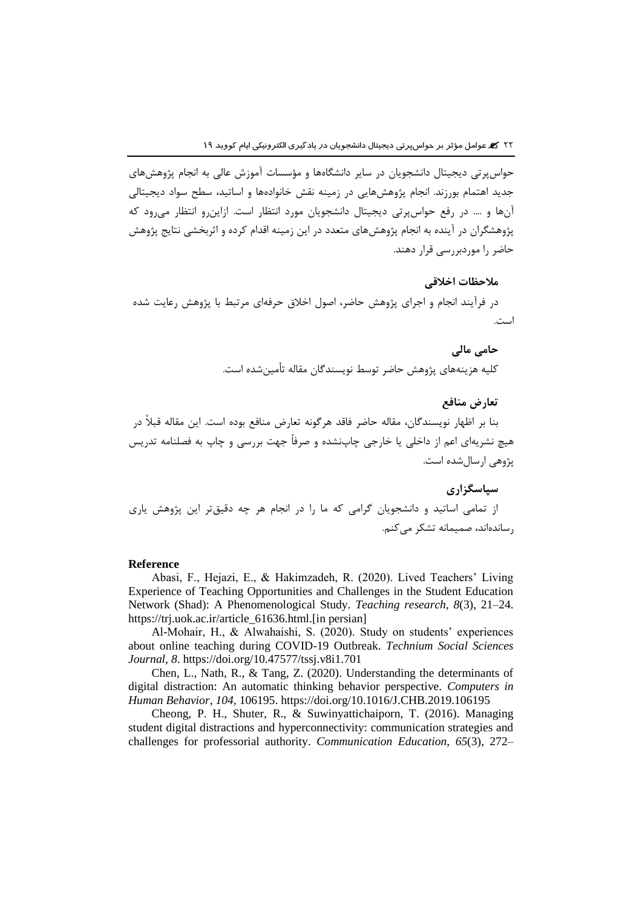حواسپرتی دیجیتال دانشجویان در سایر دانشگاهها و مؤسسات آموزش عالی به انجام پژوهشهای جدید اهتمام بورزند. انجام پژوهشهایی در زمینه نقش خانوادهها و اساتید، سطح سواد دیجیتالی آنها و .... در رفع حواسپرتی دیجیتال دانشجویان مورد انتظار است. ازاینرو انتظار میرود که پژوهشگران در آینده به انجام پژوهشهای متعدد در این زمینه اقدام کرده و اثربخشی نتایج پژوهش حاضر را موردبررسی قرار دهند.

# **مالحظات اخالقی**

در فرآیند انجام و اجرای پژوهش حاضر، اصول اخالق حرفهای مرتبط با پژوهش رعایت شده است.

# **حامی مالی**

کلیه هزینههای پژوهش حاضر توسط نویسندگان مقاله تأمینشده است.

## **تعارض منافع**

بنا بر اظهار نویسندگان، مقاله حاضر فاقد هرگونه تعارض منافع بوده است. این مقاله قبالً در هیچ نشریهای اعم از داخلی یا خارجی چاپنشده و صرفاً جهت بررسی و چاپ به فصلنامه تدریس پژوهی ارسالشده است.

**سپاسگزاری** از تمامی اساتید و دانشجویان گرامی که ما را در انجام هر چه دقیقتر این پژوهش یاری رساندهاند، صمیمانه تشکر می کنم.

#### **Reference**

Abasi, F., Hejazi, E., & Hakimzadeh, R. (2020). Lived Teachers' Living Experience of Teaching Opportunities and Challenges in the Student Education Network (Shad): A Phenomenological Study. *Teaching research*, *8*(3), 21–24. https://trj.uok.ac.ir/article\_61636.html.[in persian]

Al-Mohair, H., & Alwahaishi, S. (2020). Study on students' experiences about online teaching during COVID-19 Outbreak. *Technium Social Sciences Journal*, *8*. https://doi.org/10.47577/tssj.v8i1.701

Chen, L., Nath, R., & Tang, Z. (2020). Understanding the determinants of digital distraction: An automatic thinking behavior perspective. *Computers in Human Behavior*, *104*, 106195. https://doi.org/10.1016/J.CHB.2019.106195

Cheong, P. H., Shuter, R., & Suwinyattichaiporn, T. (2016). Managing student digital distractions and hyperconnectivity: communication strategies and challenges for professorial authority. *Communication Education*, *65*(3), 272–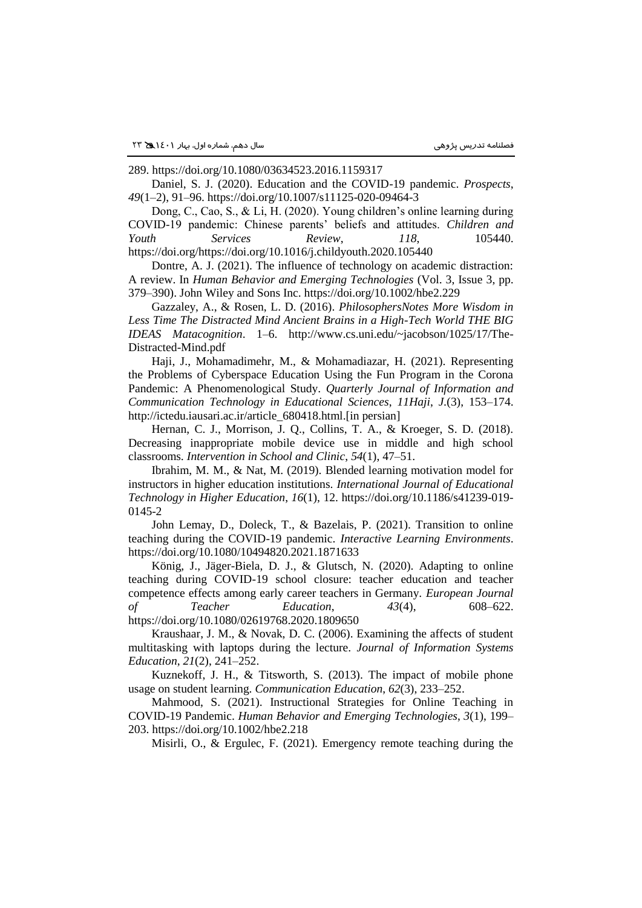289. https://doi.org/10.1080/03634523.2016.1159317

Daniel, S. J. (2020). Education and the COVID-19 pandemic. *Prospects*, *49*(1–2), 91–96. https://doi.org/10.1007/s11125-020-09464-3

Dong, C., Cao, S., & Li, H. (2020). Young children's online learning during COVID-19 pandemic: Chinese parents' beliefs and attitudes. *Children and Youth Services Review*, *118*, 105440. https://doi.org/https://doi.org/10.1016/j.childyouth.2020.105440

Dontre, A. J. (2021). The influence of technology on academic distraction: A review. In *Human Behavior and Emerging Technologies* (Vol. 3, Issue 3, pp. 379–390). John Wiley and Sons Inc. https://doi.org/10.1002/hbe2.229

Gazzaley, A., & Rosen, L. D. (2016). *PhilosophersNotes More Wisdom in Less Time The Distracted Mind Ancient Brains in a High-Tech World THE BIG IDEAS Matacognition*. 1–6. http://www.cs.uni.edu/~jacobson/1025/17/The-Distracted-Mind.pdf

Haji, J., Mohamadimehr, M., & Mohamadiazar, H. (2021). Representing the Problems of Cyberspace Education Using the Fun Program in the Corona Pandemic: A Phenomenological Study. *Quarterly Journal of Information and Communication Technology in Educational Sciences*, *11Haji*, *J.*(3), 153–174. http://ictedu.iausari.ac.ir/article\_680418.html.[in persian]

Hernan, C. J., Morrison, J. Q., Collins, T. A., & Kroeger, S. D. (2018). Decreasing inappropriate mobile device use in middle and high school classrooms. *Intervention in School and Clinic*, *54*(1), 47–51.

Ibrahim, M. M., & Nat, M. (2019). Blended learning motivation model for instructors in higher education institutions. *International Journal of Educational Technology in Higher Education*, *16*(1), 12. https://doi.org/10.1186/s41239-019- 0145-2

John Lemay, D., Doleck, T., & Bazelais, P. (2021). Transition to online teaching during the COVID-19 pandemic. *Interactive Learning Environments*. https://doi.org/10.1080/10494820.2021.1871633

König, J., Jäger-Biela, D. J., & Glutsch, N. (2020). Adapting to online teaching during COVID-19 school closure: teacher education and teacher competence effects among early career teachers in Germany. *European Journal of Teacher Education*, *43*(4), 608–622.

https://doi.org/10.1080/02619768.2020.1809650

Kraushaar, J. M., & Novak, D. C. (2006). Examining the affects of student multitasking with laptops during the lecture. *Journal of Information Systems Education*, *21*(2), 241–252.

Kuznekoff, J. H., & Titsworth, S. (2013). The impact of mobile phone usage on student learning. *Communication Education*, *62*(3), 233–252.

Mahmood, S. (2021). Instructional Strategies for Online Teaching in COVID-19 Pandemic. *Human Behavior and Emerging Technologies*, *3*(1), 199– 203. https://doi.org/10.1002/hbe2.218

Misirli, O., & Ergulec, F. (2021). Emergency remote teaching during the